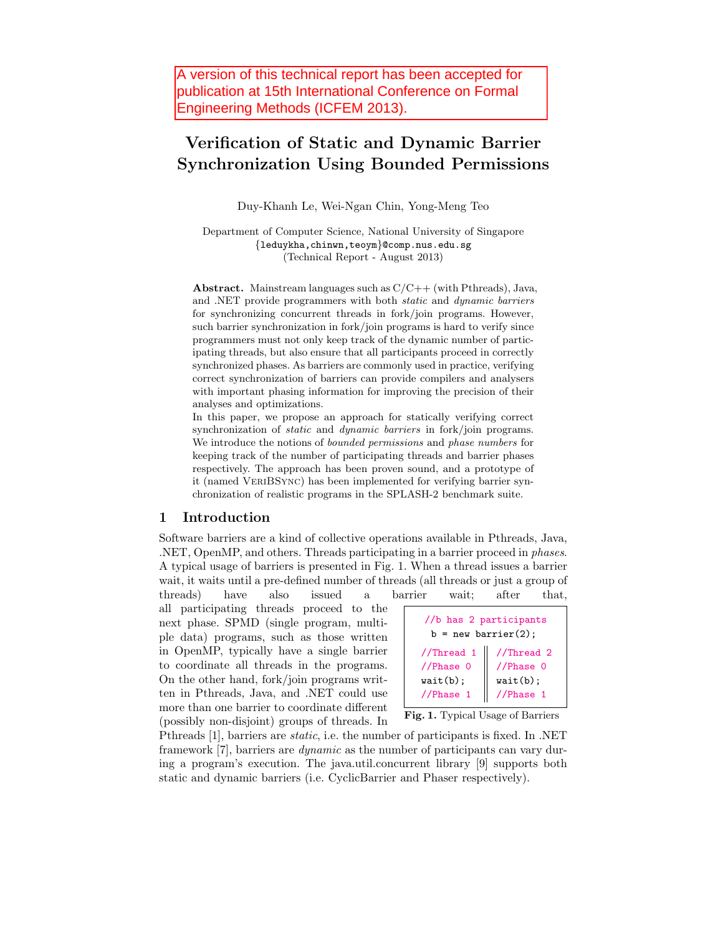# Verification of Static and Dynamic Barrier Synchronization Using Bounded Permissions

Duy-Khanh Le, Wei-Ngan Chin, Yong-Meng Teo

Department of Computer Science, National University of Singapore {leduykha,chinwn,teoym}@comp.nus.edu.sg (Technical Report - August 2013)

**Abstract.** Mainstream languages such as  $C/C++$  (with Pthreads), Java, and .NET provide programmers with both static and dynamic barriers for synchronizing concurrent threads in fork/join programs. However, such barrier synchronization in fork/join programs is hard to verify since programmers must not only keep track of the dynamic number of participating threads, but also ensure that all participants proceed in correctly synchronized phases. As barriers are commonly used in practice, verifying correct synchronization of barriers can provide compilers and analysers with important phasing information for improving the precision of their analyses and optimizations.

In this paper, we propose an approach for statically verifying correct synchronization of *static* and *dynamic barriers* in fork/join programs. We introduce the notions of bounded permissions and phase numbers for keeping track of the number of participating threads and barrier phases respectively. The approach has been proven sound, and a prototype of it (named VeriBSync) has been implemented for verifying barrier synchronization of realistic programs in the SPLASH-2 benchmark suite.

# 1 Introduction

Software barriers are a kind of collective operations available in Pthreads, Java, .NET, OpenMP, and others. Threads participating in a barrier proceed in phases. A typical usage of barriers is presented in Fig. 1. When a thread issues a barrier wait, it waits until a pre-defined number of threads (all threads or just a group of

threads) have also issued a barrier wait; after that, all participating threads proceed to the next phase. SPMD (single program, multiple data) programs, such as those written in OpenMP, typically have a single barrier to coordinate all threads in the programs. On the other hand, fork/join programs written in Pthreads, Java, and .NET could use more than one barrier to coordinate different (possibly non-disjoint) groups of threads. In

| //b has 2 participants<br>$b = new barrier(2)$ ;    |                                                     |  |  |  |
|-----------------------------------------------------|-----------------------------------------------------|--|--|--|
| //Thread 1<br>//Phase 0<br>$wait(b)$ ;<br>//Phase 1 | //Thread 2<br>//Phase 0<br>$wait(b)$ ;<br>//Phase 1 |  |  |  |

Fig. 1. Typical Usage of Barriers

Pthreads [1], barriers are static, i.e. the number of participants is fixed. In .NET framework [7], barriers are dynamic as the number of participants can vary during a program's execution. The java.util.concurrent library [9] supports both static and dynamic barriers (i.e. CyclicBarrier and Phaser respectively).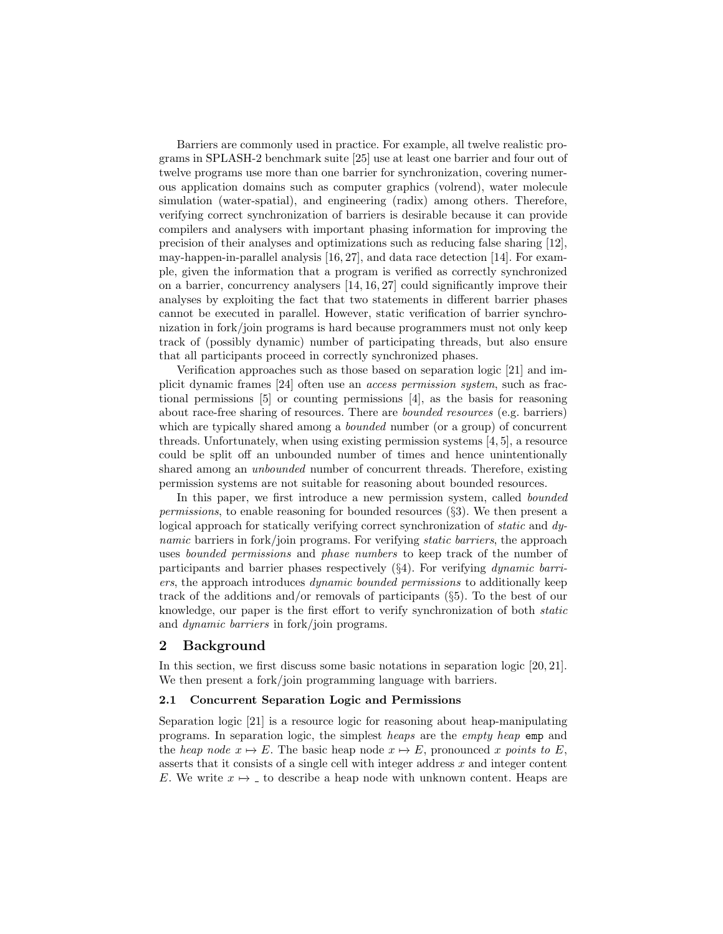Barriers are commonly used in practice. For example, all twelve realistic programs in SPLASH-2 benchmark suite [25] use at least one barrier and four out of twelve programs use more than one barrier for synchronization, covering numerous application domains such as computer graphics (volrend), water molecule simulation (water-spatial), and engineering (radix) among others. Therefore, verifying correct synchronization of barriers is desirable because it can provide compilers and analysers with important phasing information for improving the precision of their analyses and optimizations such as reducing false sharing [12], may-happen-in-parallel analysis [16, 27], and data race detection [14]. For example, given the information that a program is verified as correctly synchronized on a barrier, concurrency analysers [14, 16, 27] could significantly improve their analyses by exploiting the fact that two statements in different barrier phases cannot be executed in parallel. However, static verification of barrier synchronization in fork/join programs is hard because programmers must not only keep track of (possibly dynamic) number of participating threads, but also ensure that all participants proceed in correctly synchronized phases.

Verification approaches such as those based on separation logic [21] and implicit dynamic frames [24] often use an access permission system, such as fractional permissions [5] or counting permissions [4], as the basis for reasoning about race-free sharing of resources. There are bounded resources (e.g. barriers) which are typically shared among a *bounded* number (or a group) of concurrent threads. Unfortunately, when using existing permission systems [4, 5], a resource could be split off an unbounded number of times and hence unintentionally shared among an *unbounded* number of concurrent threads. Therefore, existing permission systems are not suitable for reasoning about bounded resources.

In this paper, we first introduce a new permission system, called bounded permissions, to enable reasoning for bounded resources (§3). We then present a logical approach for statically verifying correct synchronization of static and dynamic barriers in fork/join programs. For verifying static barriers, the approach uses bounded permissions and phase numbers to keep track of the number of participants and barrier phases respectively (§4). For verifying dynamic barriers, the approach introduces dynamic bounded permissions to additionally keep track of the additions and/or removals of participants (§5). To the best of our knowledge, our paper is the first effort to verify synchronization of both static and dynamic barriers in fork/join programs.

# 2 Background

In this section, we first discuss some basic notations in separation logic [20, 21]. We then present a fork/join programming language with barriers.

#### 2.1 Concurrent Separation Logic and Permissions

Separation logic [21] is a resource logic for reasoning about heap-manipulating programs. In separation logic, the simplest heaps are the empty heap emp and the heap node  $x \mapsto E$ . The basic heap node  $x \mapsto E$ , pronounced x points to E, asserts that it consists of a single cell with integer address  $x$  and integer content E. We write  $x \mapsto z$  to describe a heap node with unknown content. Heaps are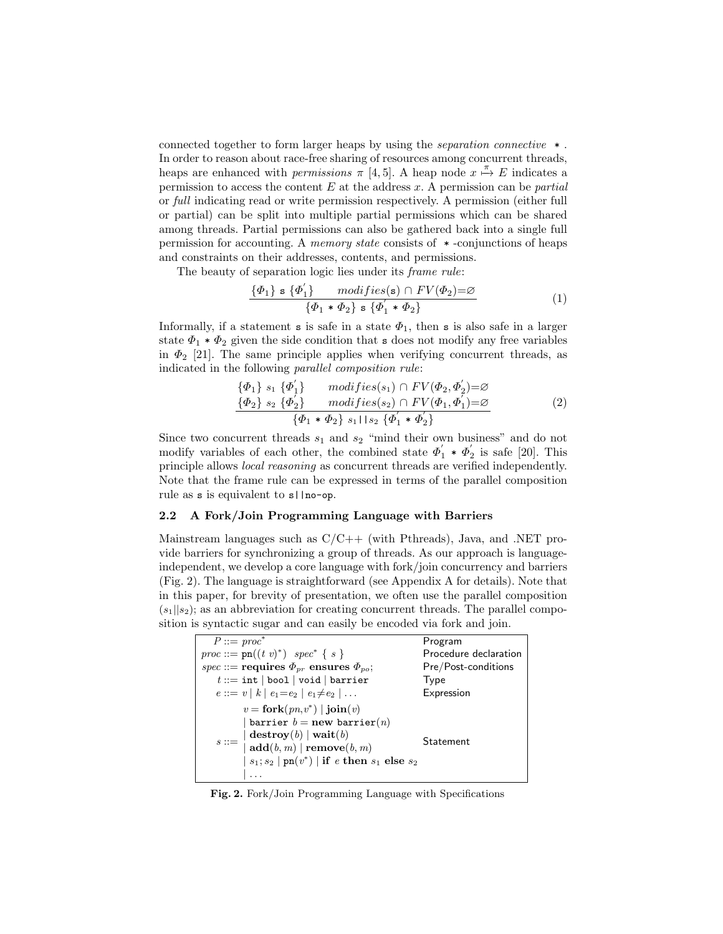connected together to form larger heaps by using the *separation connective*  $*$ . In order to reason about race-free sharing of resources among concurrent threads, heaps are enhanced with *permissions*  $\pi$  [4,5]. A heap node  $x \stackrel{\pi}{\mapsto} E$  indicates a permission to access the content  $E$  at the address  $x$ . A permission can be *partial* or full indicating read or write permission respectively. A permission (either full or partial) can be split into multiple partial permissions which can be shared among threads. Partial permissions can also be gathered back into a single full permission for accounting. A memory state consists of  $*$ -conjunctions of heaps and constraints on their addresses, contents, and permissions.

The beauty of separation logic lies under its frame rule:

$$
\frac{\{\Phi_1\} \text{ s } \{\Phi_1'\} \mod ifies(\text{s}) \cap FV(\Phi_2) = \varnothing}{\{\Phi_1 \ast \Phi_2\} \text{ s } \{\Phi_1' \ast \Phi_2\}}\tag{1}
$$

Informally, if a statement s is safe in a state  $\Phi_1$ , then s is also safe in a larger state  $\Phi_1 * \Phi_2$  given the side condition that s does not modify any free variables in  $\Phi_2$  [21]. The same principle applies when verifying concurrent threads, as indicated in the following parallel composition rule:

$$
\begin{array}{ll}\n\{\Phi_1\} \ s_1 \ \{\Phi_1'\} & \text{modifies}(s_1) \cap FV(\Phi_2, \Phi_2') = \varnothing \\
\{\Phi_2\} \ s_2 \ \{\Phi_2'\} & \text{modifies}(s_2) \cap FV(\Phi_1, \Phi_1') = \varnothing \\
& \{\Phi_1 \ast \Phi_2\} \ s_1 \mid s_2 \ \{\Phi_1' \ast \Phi_2'\}\n\end{array} \tag{2}
$$

Since two concurrent threads  $s_1$  and  $s_2$  "mind their own business" and do not modify variables of each other, the combined state  $\Phi'_1 * \Phi'_2$  is safe [20]. This principle allows local reasoning as concurrent threads are verified independently. Note that the frame rule can be expressed in terms of the parallel composition rule as s is equivalent to s||no-op.

#### 2.2 A Fork/Join Programming Language with Barriers

Mainstream languages such as C/C++ (with Pthreads), Java, and .NET provide barriers for synchronizing a group of threads. As our approach is languageindependent, we develop a core language with fork/join concurrency and barriers (Fig. 2). The language is straightforward (see Appendix A for details). Note that in this paper, for brevity of presentation, we often use the parallel composition  $(s_1||s_2)$ ; as an abbreviation for creating concurrent threads. The parallel composition is syntactic sugar and can easily be encoded via fork and join.

| $P ::= proc^*$                                                                                                                                                                                                                                                               | Program               |
|------------------------------------------------------------------------------------------------------------------------------------------------------------------------------------------------------------------------------------------------------------------------------|-----------------------|
| $proc ::= pn((t\ v)^*)\ spec^* \{ s \}$                                                                                                                                                                                                                                      | Procedure declaration |
| spec ::= requires $\Phi_{pr}$ ensures $\Phi_{po}$ ;                                                                                                                                                                                                                          | Pre/Post-conditions   |
| $t ::= int   bool   void   barrier$                                                                                                                                                                                                                                          | Type                  |
| $e ::= v   k   e_1 = e_2   e_1 \neq e_2   \dots$                                                                                                                                                                                                                             | Expression            |
| $v =$ fork $(pn, v^*)$   join $(v)$<br>  barrier $b = new barrier(n)$<br>$s ::= \begin{array}{l}   \textbf{ destroy}(b)   \textbf{wait}(b)   \ \textbf{0}   \ \textbf{add}(b,m)   \textbf{remove}(b,m)   \end{array}$<br>$ s_1; s_2  $ pn $(v^*)$ if e then $s_1$ else $s_2$ | <b>Statement</b>      |
|                                                                                                                                                                                                                                                                              |                       |

Fig. 2. Fork/Join Programming Language with Specifications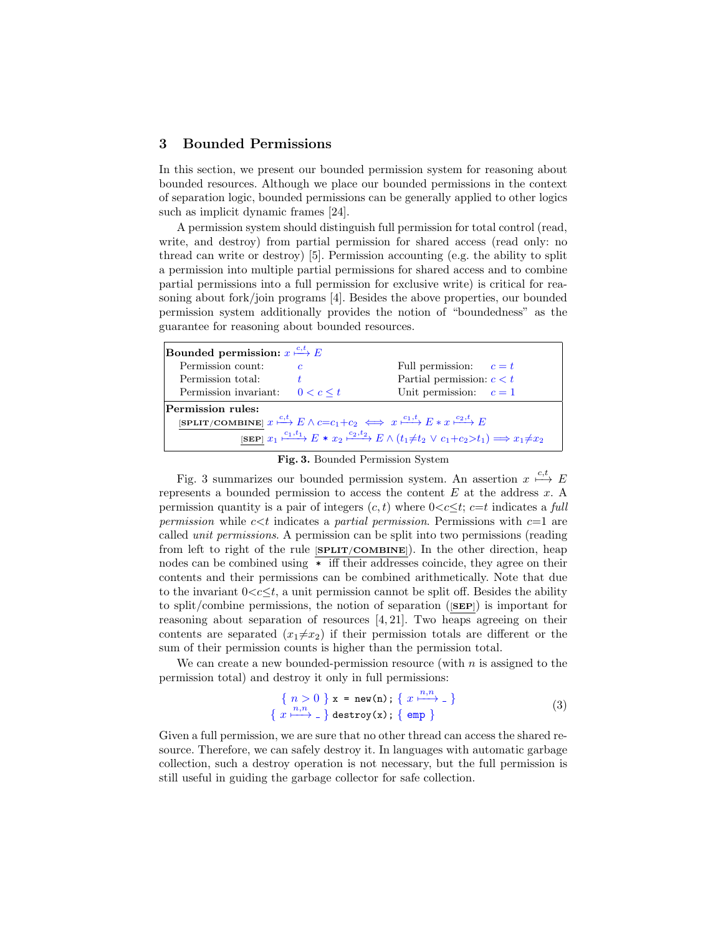# 3 Bounded Permissions

In this section, we present our bounded permission system for reasoning about bounded resources. Although we place our bounded permissions in the context of separation logic, bounded permissions can be generally applied to other logics such as implicit dynamic frames [24].

A permission system should distinguish full permission for total control (read, write, and destroy) from partial permission for shared access (read only: no thread can write or destroy) [5]. Permission accounting (e.g. the ability to split a permission into multiple partial permissions for shared access and to combine partial permissions into a full permission for exclusive write) is critical for reasoning about fork/join programs [4]. Besides the above properties, our bounded permission system additionally provides the notion of "boundedness" as the guarantee for reasoning about bounded resources.

| Bounded permission: $x \stackrel{c,t}{\longmapsto} E$                                                                                                   |               |                             |  |  |  |
|---------------------------------------------------------------------------------------------------------------------------------------------------------|---------------|-----------------------------|--|--|--|
| Permission count:                                                                                                                                       | $\mathcal{C}$ | Full permission: $c = t$    |  |  |  |
| Permission total:                                                                                                                                       |               | Partial permission: $c < t$ |  |  |  |
| Permission invariant: $0 < c \le t$                                                                                                                     |               | Unit permission: $c=1$      |  |  |  |
| Permission rules:                                                                                                                                       |               |                             |  |  |  |
| $[SPLIT/COMBINE]$ $x \xrightarrow{c,t} E \wedge c = c_1 + c_2 \iff x \xrightarrow{c_1,t} E * x \xrightarrow{c_2,t} E$                                   |               |                             |  |  |  |
| $\overline{\text{[SEP]}} x_1 \xrightarrow{c_1,t_1} E * x_2 \xrightarrow{c_2,t_2} E \wedge (t_1 \neq t_2 \vee c_1+c_2>t_1) \Longrightarrow x_1 \neq x_2$ |               |                             |  |  |  |

Fig. 3. Bounded Permission System

Fig. 3 summarizes our bounded permission system. An assertion  $x \stackrel{c,t}{\longmapsto} E$ represents a bounded permission to access the content  $E$  at the address  $x$ . A permission quantity is a pair of integers  $(c, t)$  where  $0 < c \leq t$ ;  $c=t$  indicates a full permission while  $c < t$  indicates a partial permission. Permissions with  $c=1$  are called unit permissions. A permission can be split into two permissions (reading from left to right of the rule  $[\text{SPLIT/COMBINE}]$ . In the other direction, heap nodes can be combined using  $*$  iff their addresses coincide, they agree on their contents and their permissions can be combined arithmetically. Note that due to the invariant  $0 < c < t$ , a unit permission cannot be split off. Besides the ability to split/combine permissions, the notion of separation ([SEP]) is important for reasoning about separation of resources [4, 21]. Two heaps agreeing on their contents are separated  $(x_1 \neq x_2)$  if their permission totals are different or the sum of their permission counts is higher than the permission total.

We can create a new bounded-permission resource (with  $n$  is assigned to the permission total) and destroy it only in full permissions:

$$
\{ n > 0 \} x = new(n); \{ x \xrightarrow{n,n} \_ \} \tag{3}
$$

$$
\{ x \xrightarrow{n,n} \_ \} \text{destroy}(x); \{ emp \}
$$

Given a full permission, we are sure that no other thread can access the shared resource. Therefore, we can safely destroy it. In languages with automatic garbage collection, such a destroy operation is not necessary, but the full permission is still useful in guiding the garbage collector for safe collection.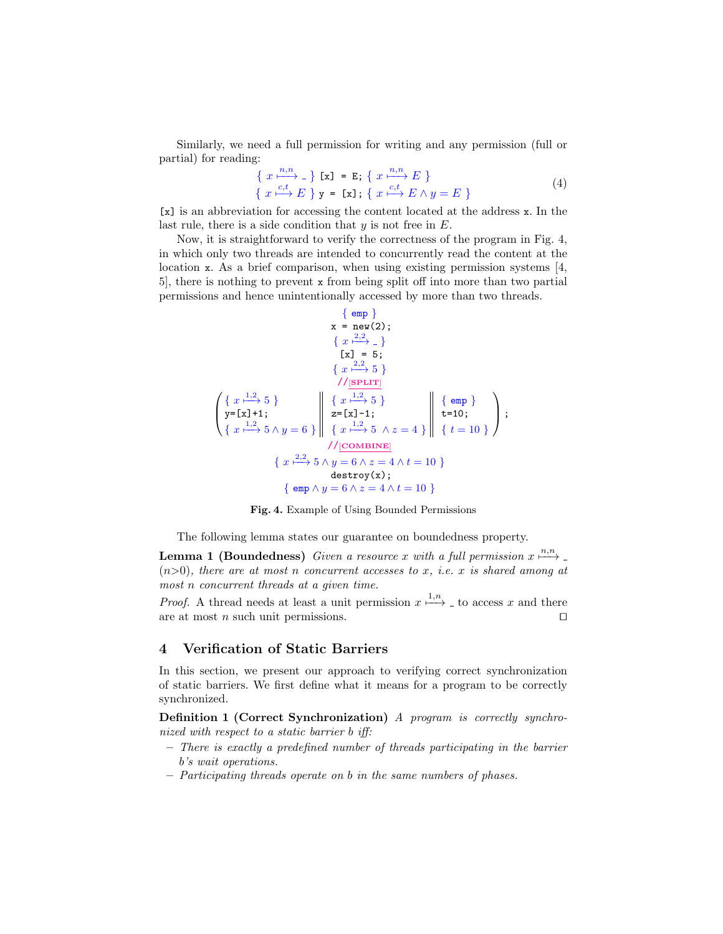Similarly, we need a full permission for writing and any permission (full or partial) for reading:

$$
\{ x \xrightarrow{n,n} \_ \} [\mathbf{x}] = \mathbf{E}; \{ x \xrightarrow{n,n} E \}
$$
  

$$
\{ x \xrightarrow{c,t} E \} \mathbf{y} = [\mathbf{x}]; \{ x \xrightarrow{c,t} E \wedge y = E \}
$$
 (4)

[x] is an abbreviation for accessing the content located at the address x. In the last rule, there is a side condition that  $y$  is not free in  $E$ .

Now, it is straightforward to verify the correctness of the program in Fig. 4, in which only two threads are intended to concurrently read the content at the location x. As a brief comparison, when using existing permission systems [4, 5], there is nothing to prevent x from being split off into more than two partial permissions and hence unintentionally accessed by more than two threads.

$$
\left\{\begin{array}{c}\n\text{emp }\\
x = \text{new}(2);\\
\left\{\begin{array}{c}\nx \xrightarrow{2,2} \\
x \xrightarrow{2,2}\n\end{array}\right\}\n\right.\n\left.\begin{array}{c}\n\left\{\begin{array}{c}\nx \xrightarrow{2,2} \\
x \xrightarrow{2,3}\n\end{array}\right\}\n\right. \\
\left.\begin{array}{c}\n\left\{\begin{array}{c}\nx \xrightarrow{1,2} \\
x \xrightarrow{1,3}\n\end{array}\right\}\n\right. \\
\left.\begin{array}{c}\n\left\{\begin{array}{c}\nx \xrightarrow{1,2} \\
x \xrightarrow{1,3}\n\end{array}\right\}\n\right.\n\end{array}\right.\n\left.\begin{array}{c}\n\left\{\begin{array}{c}\nx \xrightarrow{1,2} \\
x \xrightarrow{1,2}\n\end{array}\right\}\n\right.\n\end{array}\n\right.\n\left.\begin{array}{c}\n\left\{\begin{array}{c}\n\text{emp }\\
x \xrightarrow{1,2}\n\end{array}\right\}\n\right.\n\end{array}\n\right.\n\left.\begin{array}{c}\n\left\{\begin{array}{c}\n\text{emp }\\
x \xrightarrow{1,2}\n\end{array}\right.\left.\begin{array}{c}\n\left\{\begin{array}{c}\nx \xrightarrow{1,2} \\
x \xrightarrow{1,2}\n\end{array}\right\}\n\right.\n\end{array}\n\right.\n\left.\begin{array}{c}\n\left\{\begin{array}{c}\n\text{emp }\\
x \xrightarrow{1,2}\n\end{array}\right.\left.\begin{array}{c}\n\left\{\begin{array}{c}\n\text{com}_{\text{BINE}}\\
x \xrightarrow{1,2}\n\end{array}\right.\left.\begin{array}{c}\n\left\{\begin{array}{c}\n\text{com}_{\text{BINE}}\\
x \xrightarrow{1,2}\n\end{array}\right.\left.\begin{array}{c}\n\left\{\begin{array}{c}\n\text{com}_{\text{BINE}}\\
x \xrightarrow{1,2}\n\end{array}\right.\left.\begin{array}{c}\n\left\{\begin{array}{c}\n\text{com}_{\text{BINE}}\\
x \xrightarrow{1,2}\n\end{array}\right.\left.\begin{array}{c}\n\left\{\begin{array}{c}\n\text{com}_{\text{BNE}}\\
x \xrightarrow{1
$$

Fig. 4. Example of Using Bounded Permissions

The following lemma states our guarantee on boundedness property.

**Lemma 1 (Boundedness)** Given a resource x with a full permission  $x \stackrel{n,n}{\longmapsto}$  $(n>0)$ , there are at most n concurrent accesses to x, i.e. x is shared among at most n concurrent threads at a given time.

*Proof.* A thread needs at least a unit permission  $x \stackrel{1,n}{\longmapsto}$  – to access x and there are at most n such unit permissions.  $\Box$ 

# 4 Verification of Static Barriers

In this section, we present our approach to verifying correct synchronization of static barriers. We first define what it means for a program to be correctly synchronized.

Definition 1 (Correct Synchronization) A program is correctly synchronized with respect to a static barrier b iff:

- There is exactly a predefined number of threads participating in the barrier b's wait operations.
- Participating threads operate on b in the same numbers of phases.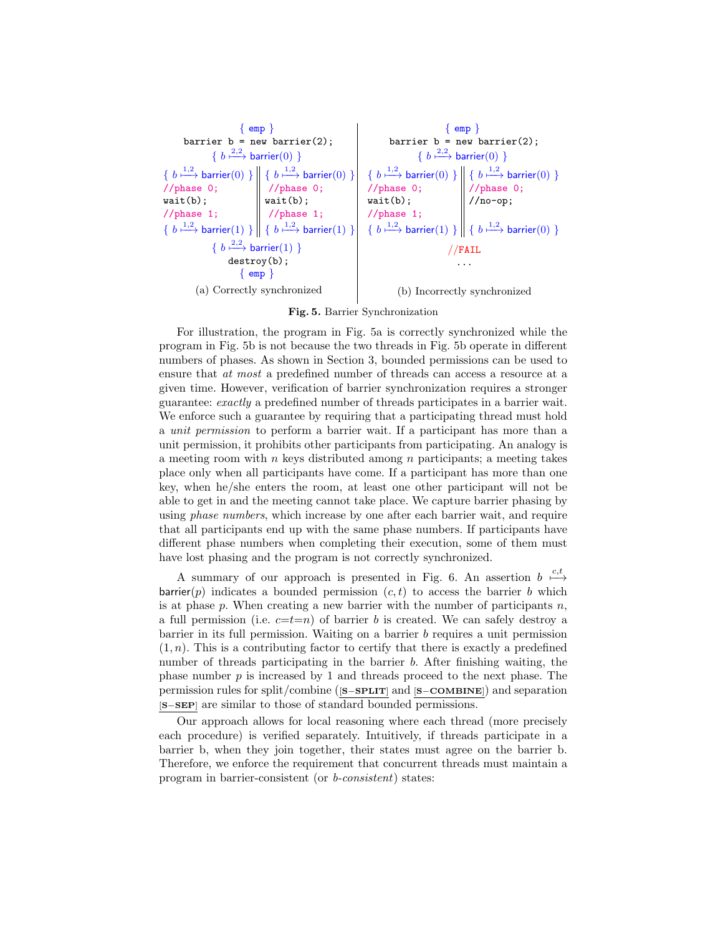```
{emp}}
      barrier b = new barrier(2);\{b \stackrel{2,2}{\longmapsto} \text{barrier}(0)\}\{b \stackrel{1,2}{\longmapsto} \text{barrier}(0)\}\ \{b \stackrel{1,2}{\longmapsto} \text{barrier}(0)\}//phase 0; //phase 0;
wait(b); wait(b);
//phase 1; //phase 1;
\{b \stackrel{1,2}{\longmapsto} \text{barrier}(1)\}\ \{b \stackrel{1,2}{\longmapsto} \text{barrier}(1)\}\{b \stackrel{2,2}{\longmapsto} \text{barrier}(1)\}destroy(b);
                       \{ emp \}(a) Correctly synchronized
                                                                                        \{ emp \}barrier b = new barrier(2);\{b \stackrel{2,2}{\longmapsto} \text{barrier}(0)\}\{b \stackrel{1,2}{\longmapsto} \text{barrier}(0)\}\parallel \{b \stackrel{1,2}{\longmapsto} \text{barrier}(0)\}\//phase 0; //phase 0;\texttt{wait(b)}; \| //no-op;
                                                               //phase 1;
                                                                \{b \stackrel{1,2}{\longmapsto} \textsf{barrier}(1)\}\n\|\n\{b\}1,2
                                                                                                      \mapsto barrier(0) }
                                                                                          //FAIL
                                                                                            ...
                                                                         (b) Incorrectly synchronized
```
#### Fig. 5. Barrier Synchronization

For illustration, the program in Fig. 5a is correctly synchronized while the program in Fig. 5b is not because the two threads in Fig. 5b operate in different numbers of phases. As shown in Section 3, bounded permissions can be used to ensure that at most a predefined number of threads can access a resource at a given time. However, verification of barrier synchronization requires a stronger guarantee: exactly a predefined number of threads participates in a barrier wait. We enforce such a guarantee by requiring that a participating thread must hold a unit permission to perform a barrier wait. If a participant has more than a unit permission, it prohibits other participants from participating. An analogy is a meeting room with  $n$  keys distributed among  $n$  participants; a meeting takes place only when all participants have come. If a participant has more than one key, when he/she enters the room, at least one other participant will not be able to get in and the meeting cannot take place. We capture barrier phasing by using phase numbers, which increase by one after each barrier wait, and require that all participants end up with the same phase numbers. If participants have different phase numbers when completing their execution, some of them must have lost phasing and the program is not correctly synchronized.

A summary of our approach is presented in Fig. 6. An assertion  $b \stackrel{c,t}{\longmapsto}$ barrier(p) indicates a bounded permission  $(c, t)$  to access the barrier b which is at phase  $p$ . When creating a new barrier with the number of participants  $n$ , a full permission (i.e.  $c=t=n$ ) of barrier b is created. We can safely destroy a  $barrier$  in its full permission. Waiting on a barrier  $b$  requires a unit permission  $(1, n)$ . This is a contributing factor to certify that there is exactly a predefined number of threads participating in the barrier b. After finishing waiting, the phase number  $p$  is increased by 1 and threads proceed to the next phase. The permission rules for split/combine ([S−SPLIT] and [S−COMBINE]) and separation [S−SEP] are similar to those of standard bounded permissions.

Our approach allows for local reasoning where each thread (more precisely each procedure) is verified separately. Intuitively, if threads participate in a barrier b, when they join together, their states must agree on the barrier b. Therefore, we enforce the requirement that concurrent threads must maintain a program in barrier-consistent (or b-consistent) states: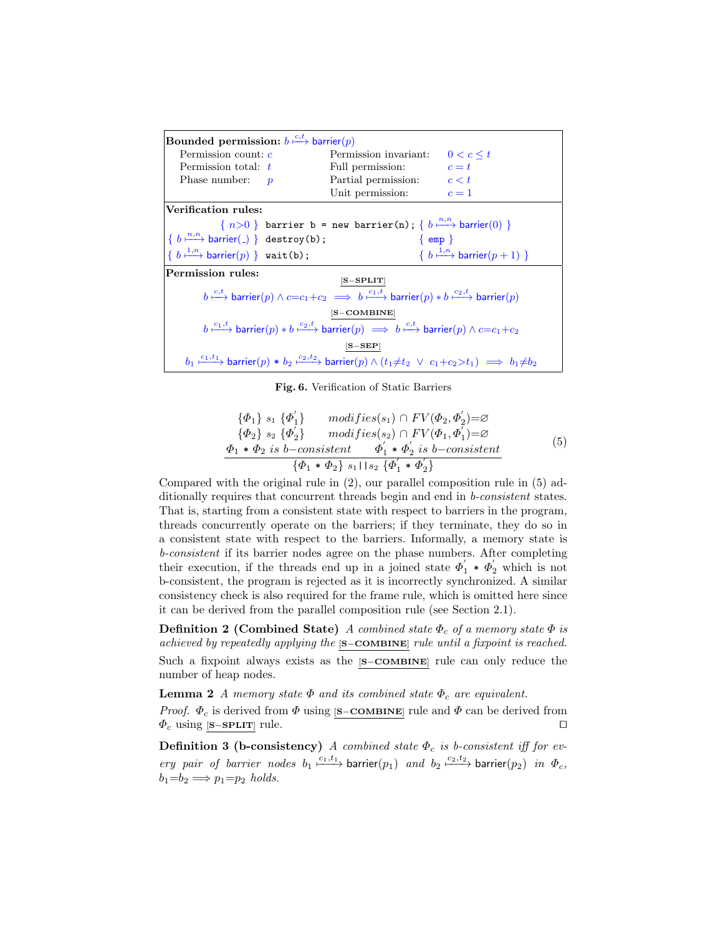| <b>Bounded permission:</b> $b \stackrel{c,t}{\longmapsto}$ barrier(p)                                                                                                                 |                                                                                     |                                                                                      |                                                         |  |  |
|---------------------------------------------------------------------------------------------------------------------------------------------------------------------------------------|-------------------------------------------------------------------------------------|--------------------------------------------------------------------------------------|---------------------------------------------------------|--|--|
| Permission count: c                                                                                                                                                                   |                                                                                     | Permission invariant:                                                                | $0 < c \leq t$                                          |  |  |
| Permission total: $t$                                                                                                                                                                 |                                                                                     | Full permission:                                                                     | $c=t$                                                   |  |  |
| Phase number:<br>$\boldsymbol{p}$                                                                                                                                                     |                                                                                     | Partial permission: $c < t$                                                          |                                                         |  |  |
|                                                                                                                                                                                       |                                                                                     | Unit permission:                                                                     | $c=1$                                                   |  |  |
| Verification rules:                                                                                                                                                                   |                                                                                     |                                                                                      |                                                         |  |  |
|                                                                                                                                                                                       |                                                                                     | $\{n>0\}$ barrier b = new barrier(n); $\{b \stackrel{n,n}{\longmapsto}$ barrier(0) } |                                                         |  |  |
|                                                                                                                                                                                       | $\{b \stackrel{n,n}{\longmapsto} \text{barrier}(\_)\}$ destroy(b);<br>$\{$ emp $\}$ |                                                                                      |                                                         |  |  |
| $\{b \stackrel{1,n}{\longmapsto} \text{barrier}(p)\}$ wait(b);                                                                                                                        |                                                                                     |                                                                                      | $\{b \stackrel{1,n}{\longmapsto} \text{barrier}(p+1)\}$ |  |  |
| Permission rules:<br>$[S-SPLIT]$                                                                                                                                                      |                                                                                     |                                                                                      |                                                         |  |  |
| $b \stackrel{c,t}{\longmapsto}$ barrier $(p) \wedge c = c_1 + c_2 \implies b \stackrel{c_1,t}{\longmapsto}$ barrier $(p) * b \stackrel{c_2,t}{\longmapsto}$ barrier $(p)$             |                                                                                     |                                                                                      |                                                         |  |  |
| $[S-COMBINE]$                                                                                                                                                                         |                                                                                     |                                                                                      |                                                         |  |  |
| $b \stackrel{c_1,t}{\longrightarrow}$ barrier $(p) * b \stackrel{c_2,t}{\longrightarrow}$ barrier $(p) \implies b \stackrel{c,t}{\longrightarrow}$ barrier $(p) \wedge c = c_1 + c_2$ |                                                                                     |                                                                                      |                                                         |  |  |
| $ S - SEP $                                                                                                                                                                           |                                                                                     |                                                                                      |                                                         |  |  |
| $b_1 \xrightarrow{c_1,t_1}$ barrier $(p) * b_2 \xrightarrow{c_2,t_2}$ barrier $(p) \wedge (t_1 \neq t_2 \vee c_1+c_2>t_1) \implies b_1 \neq b_2$                                      |                                                                                     |                                                                                      |                                                         |  |  |

Fig. 6. Verification of Static Barriers

$$
\begin{array}{ll}\n\{\Phi_1\} \ s_1 \ \{\Phi_1'\} & \text{modifies}(s_1) \cap FV(\Phi_2, \Phi_2') = \varnothing \\
\{\Phi_2\} \ s_2 \ \{\Phi_2'\} & \text{modifies}(s_2) \cap FV(\Phi_1, \Phi_1') = \varnothing \\
\underline{\Phi_1 * \Phi_2} \ is \ b-consistent & \Phi_1' * \Phi_2' \ is \ b-consistent \\
\{\Phi_1 * \Phi_2\} \ s_1 \mid s_2 \ \{\Phi_1' * \Phi_2'\}\n\end{array} \tag{5}
$$

Compared with the original rule in (2), our parallel composition rule in (5) additionally requires that concurrent threads begin and end in *b*-consistent states. That is, starting from a consistent state with respect to barriers in the program, threads concurrently operate on the barriers; if they terminate, they do so in a consistent state with respect to the barriers. Informally, a memory state is b-consistent if its barrier nodes agree on the phase numbers. After completing their execution, if the threads end up in a joined state  $\phi'_1 * \phi'_2$  which is not b-consistent, the program is rejected as it is incorrectly synchronized. A similar consistency check is also required for the frame rule, which is omitted here since it can be derived from the parallel composition rule (see Section 2.1).

**Definition 2 (Combined State)** A combined state  $\Phi_c$  of a memory state  $\Phi$  is achieved by repeatedly applying the [S−COMBINE] rule until a fixpoint is reached. Such a fixpoint always exists as the [S−COMBINE] rule can only reduce the number of heap nodes.

**Lemma 2** A memory state  $\Phi$  and its combined state  $\Phi_c$  are equivalent.

*Proof.*  $\Phi_c$  is derived from  $\Phi$  using [S–COMBINE] rule and  $\Phi$  can be derived from  $\Phi_c$  using [S–SPLIT] rule.

**Definition 3 (b-consistency)** A combined state  $\Phi_c$  is b-consistent iff for every pair of barrier nodes  $b_1 \xrightarrow{c_1,t_1}$  barrier $(p_1)$  and  $b_2 \xrightarrow{c_2,t_2}$  barrier $(p_2)$  in  $\Phi_c$ ,  $b_1=b_2 \Longrightarrow p_1=p_2$  holds.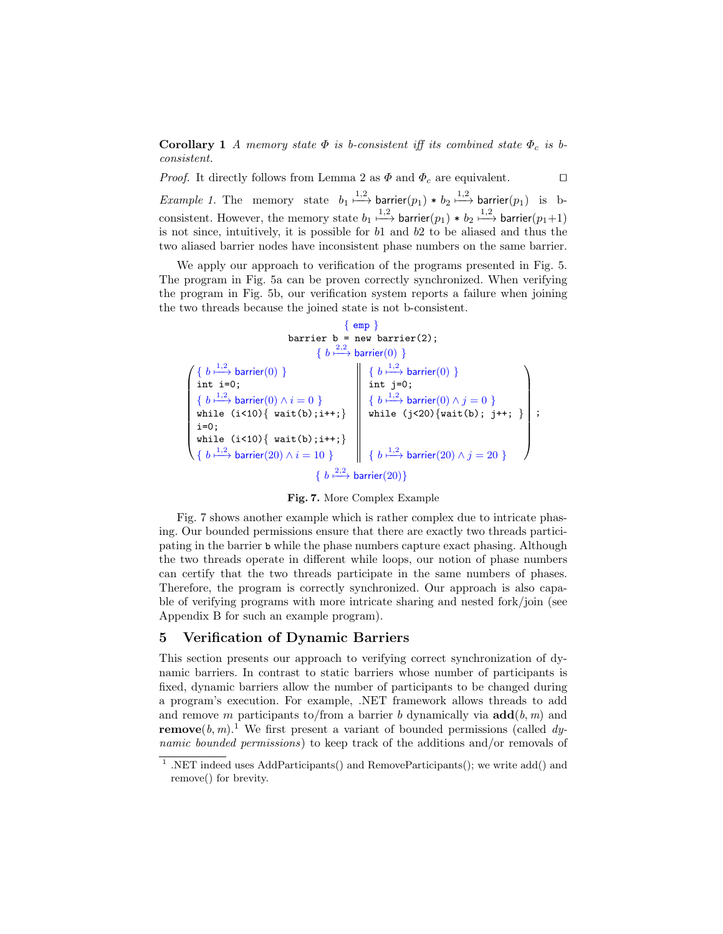**Corollary 1** A memory state  $\Phi$  is b-consistent iff its combined state  $\Phi_c$  is bconsistent.

*Proof.* It directly follows from Lemma 2 as  $\Phi$  and  $\Phi_c$  are equivalent.  $\square$ 

*Example 1*. The memory state  $b_1 \stackrel{1,2}{\longmapsto}$  barrier $(p_1) * b_2 \stackrel{1,2}{\longmapsto}$  barrier $(p_1)$  is bconsistent. However, the memory state  $b_1 \stackrel{1,2}{\longmapsto}$  barrier $(p_1) * b_2 \stackrel{1,2}{\longmapsto}$  barrier $(p_1+1)$ is not since, intuitively, it is possible for b1 and b2 to be aliased and thus the two aliased barrier nodes have inconsistent phase numbers on the same barrier.

We apply our approach to verification of the programs presented in Fig. 5. The program in Fig. 5a can be proven correctly synchronized. When verifying the program in Fig. 5b, our verification system reports a failure when joining the two threads because the joined state is not b-consistent.

```
\{ emp \}barrier b = new barrier(2);
                                                       \{b \stackrel{2,2}{\longmapsto} \text{barrier}(0)\}\left( \left\{ b \stackrel{1,2}{\longmapsto} \text{barrier}(0) \right\} \right. \qquad \qquad \left. \left. \left\| \left\{ b \stackrel{1,2}{\longmapsto} \text{barrier}(0) \right\} \right\| \right.\begin{array}{c} \begin{array}{c} \begin{array}{c} \begin{array}{c} \end{array} \\ \end{array} \end{array} \end{array}int i=0; \parallel int j=0;
    \{b \stackrel{1,2}{\longmapsto} \textsf{barrier}(0) \land i = 0 \} \{b \stackrel{1,2}{\longmapsto} \textsf{barrier}(0) \land j = 0 \}while (i<10){ wait(b);i++;} \parallel while (j<20){wait(b); j++; }
    i=0;
    while (i<10){ wait(b);i++;}
    \{b \stackrel{1,2}{\longmapsto} barrier(20) \wedge i = 10 \} \{b \stackrel{1,2}{\longmapsto} barrier(20) \wedge j = 20 \}\setminus\overline{\phantom{a}};
                                                       { b
                                                               2,2
                                                              \xrightarrow{2,2} barrier(20)}
```
#### Fig. 7. More Complex Example

Fig. 7 shows another example which is rather complex due to intricate phasing. Our bounded permissions ensure that there are exactly two threads participating in the barrier b while the phase numbers capture exact phasing. Although the two threads operate in different while loops, our notion of phase numbers can certify that the two threads participate in the same numbers of phases. Therefore, the program is correctly synchronized. Our approach is also capable of verifying programs with more intricate sharing and nested fork/join (see Appendix B for such an example program).

#### 5 Verification of Dynamic Barriers

This section presents our approach to verifying correct synchronization of dynamic barriers. In contrast to static barriers whose number of participants is fixed, dynamic barriers allow the number of participants to be changed during a program's execution. For example, .NET framework allows threads to add and remove m participants to/from a barrier b dynamically via  $\text{add}(b, m)$  and **remove** $(b, m)$ <sup>1</sup> We first present a variant of bounded permissions (called dynamic bounded permissions) to keep track of the additions and/or removals of

<sup>&</sup>lt;sup>1</sup> .NET indeed uses AddParticipants() and RemoveParticipants(); we write add() and remove() for brevity.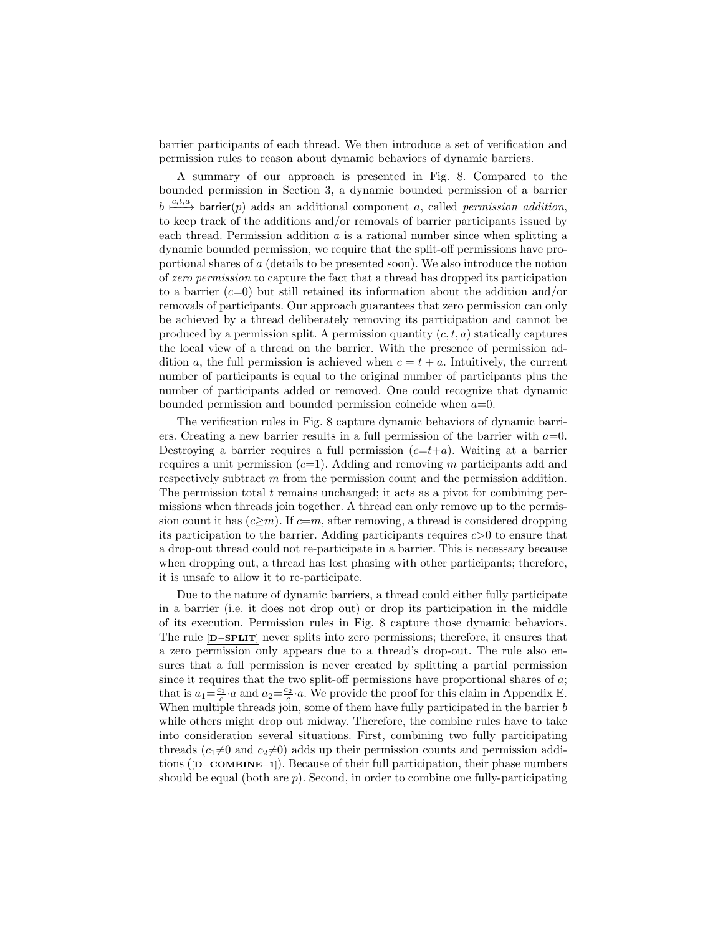barrier participants of each thread. We then introduce a set of verification and permission rules to reason about dynamic behaviors of dynamic barriers.

A summary of our approach is presented in Fig. 8. Compared to the bounded permission in Section 3, a dynamic bounded permission of a barrier  $b \stackrel{c,t,a}{\longrightarrow}$  barrier(p) adds an additional component a, called permission addition, to keep track of the additions and/or removals of barrier participants issued by each thread. Permission addition  $\alpha$  is a rational number since when splitting a dynamic bounded permission, we require that the split-off permissions have proportional shares of a (details to be presented soon). We also introduce the notion of zero permission to capture the fact that a thread has dropped its participation to a barrier  $(c=0)$  but still retained its information about the addition and/or removals of participants. Our approach guarantees that zero permission can only be achieved by a thread deliberately removing its participation and cannot be produced by a permission split. A permission quantity  $(c, t, a)$  statically captures the local view of a thread on the barrier. With the presence of permission addition a, the full permission is achieved when  $c = t + a$ . Intuitively, the current number of participants is equal to the original number of participants plus the number of participants added or removed. One could recognize that dynamic bounded permission and bounded permission coincide when  $a=0$ .

The verification rules in Fig. 8 capture dynamic behaviors of dynamic barriers. Creating a new barrier results in a full permission of the barrier with  $a=0$ . Destroying a barrier requires a full permission  $(c=t+a)$ . Waiting at a barrier requires a unit permission  $(c=1)$ . Adding and removing m participants add and respectively subtract m from the permission count and the permission addition. The permission total  $t$  remains unchanged; it acts as a pivot for combining permissions when threads join together. A thread can only remove up to the permission count it has  $(c>m)$ . If  $c=m$ , after removing, a thread is considered dropping its participation to the barrier. Adding participants requires  $c > 0$  to ensure that a drop-out thread could not re-participate in a barrier. This is necessary because when dropping out, a thread has lost phasing with other participants; therefore, it is unsafe to allow it to re-participate.

Due to the nature of dynamic barriers, a thread could either fully participate in a barrier (i.e. it does not drop out) or drop its participation in the middle of its execution. Permission rules in Fig. 8 capture those dynamic behaviors. The rule [D−SPLIT] never splits into zero permissions; therefore, it ensures that a zero permission only appears due to a thread's drop-out. The rule also ensures that a full permission is never created by splitting a partial permission since it requires that the two split-off permissions have proportional shares of  $a$ ; that is  $a_1 = \frac{c_1}{c} \cdot a$  and  $a_2 = \frac{c_2}{c} \cdot a$ . We provide the proof for this claim in Appendix E. When multiple threads join, some of them have fully participated in the barrier  $b$ while others might drop out midway. Therefore, the combine rules have to take into consideration several situations. First, combining two fully participating threads  $(c_1\neq 0$  and  $c_2\neq 0$ ) adds up their permission counts and permission additions ([D−COMBINE−1]). Because of their full participation, their phase numbers should be equal (both are  $p$ ). Second, in order to combine one fully-participating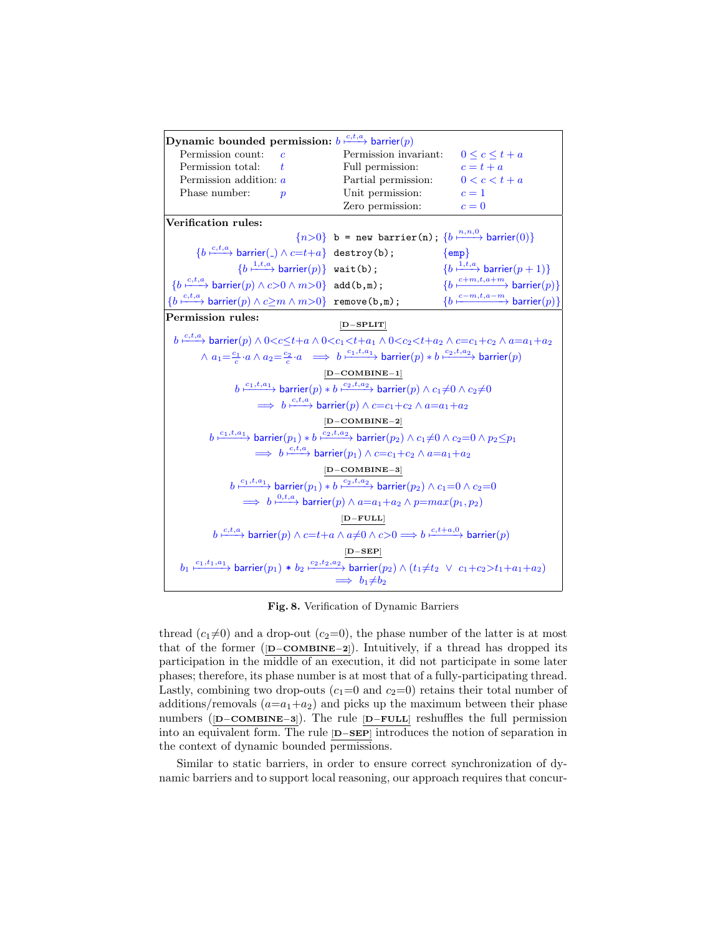| Dynamic bounded permission: $b \stackrel{c,t,a}{\longmapsto}$ barrier(p)<br>$0\leq c\leq t+a$<br>Permission count:<br>Permission invariant:<br>$\epsilon$<br>Permission total:<br>$c=t+a$<br>Full permission:<br>ŧ<br>Permission addition: $a$<br>$0 < c < t + a$<br>Partial permission:<br>Phase number:<br>Unit permission:<br>$c=1$<br>$\boldsymbol{p}$<br>Zero permission:<br>$c=0$<br>Verification rules:<br>${n>0}$ b = new barrier(n); ${b \xrightarrow{n,n,0} \text{barrier}(0)}$<br>${b \xrightarrow{c,t,a} \text{barrier}(\_) \land c=t+a}$ destroy(b);<br>$\{\text{emp}\}$<br>${b \xrightarrow{1,t,a} \text{barrier}(p+1)}$<br>${b \xrightarrow{1,t,a} \text{barrier}(p)}$ wait(b);<br>${b \xrightarrow{c+m,t,a+m}}$ barrier $(p)$ }<br>${b \xrightarrow{c,t,a} \text{barrier}(p) \land c > 0 \land m > 0}$ add(b,m);<br>${b \xrightarrow{c-m,t,a-m} \text{barrier}(p)}$<br>$\{b \stackrel{c,t,a}{\longmapsto} \text{barrier}(p) \wedge c \geq m \wedge m > 0\}$ remove(b,m);<br>$[D-SPLIT]$<br>$b \xrightarrow{c,t,a}$ barrier $(p) \wedge 0 < c \le t+a \wedge 0 < c_1 < t+a_1 \wedge 0 < c_2 < t+a_2 \wedge c=c_1+c_2 \wedge a=a_1+a_2$<br>$\wedge \; a_1\mathord = \tfrac{c_1}{c}\cdot a \; \wedge \; a_2\mathord = \tfrac{c_2}{c}\cdot a \;\; \implies \; b\stackrel{c_1,t,a_1}{\longrightarrow} \text{barrier}(p) * b\stackrel{c_2,t,a_2}{\longrightarrow} \text{barrier}(p)$<br>$\left[ \text{D--COMBINE}-1 \right]$<br>$b \xrightarrow{c_1,t,a_1}$ barrier $(p) * b \xrightarrow{c_2,t,a_2}$ barrier $(p) \wedge c_1 \neq 0 \wedge c_2 \neq 0$<br>$\implies b \stackrel{c,t,a}{\longmapsto} \textsf{barrier}(p) \land c = c_1 + c_2 \land a = a_1 + a_2$<br>$[D-COMBINE-2]$<br>$b \xrightarrow{c_1,t,a_1}$ barrier $(p_1) * b \xrightarrow{c_2,t,a_2}$ barrier $(p_2) \wedge c_1 \neq 0 \wedge c_2 = 0 \wedge p_2 \leq p_1$<br>$\implies b \stackrel{c,t,a}{\longmapsto}$ barrier $(p_1) \wedge c = c_1+c_2 \wedge a = a_1+a_2$<br>$[D-COMBINE-3]$<br>$b \stackrel{c_1,t,a_1}{\longmapsto}$ barrier $(p_1) * b \stackrel{c_2,t,a_2}{\longmapsto}$ barrier $(p_2) \wedge c_1 = 0 \wedge c_2 = 0$<br>$\implies b \stackrel{0,t,a}{\longmapsto} \textsf{barrier}(p) \land a = a_1 + a_2 \land p = max(p_1,p_2)$<br>$[D-FULL]$<br>$b \stackrel{c,t,a}{\longmapsto}$ barrier $(p) \wedge c = t + a \wedge a \neq 0 \wedge c > 0 \Longrightarrow b \stackrel{c,t+a,0}{\longmapsto}$ barrier $(p)$<br>$[D-SEP]$<br>$b_1 \xrightarrow{c_1,t_1,a_1}$ barrier $(p_1) * b_2 \xrightarrow{c_2,t_2,a_2}$ barrier $(p_2) \wedge (t_1 \neq t_2 \vee c_1+c_2 > t_1+a_1+a_2)$<br>$\implies b_1 \neq b_2$ |                   |  |  |  |  |  |
|------------------------------------------------------------------------------------------------------------------------------------------------------------------------------------------------------------------------------------------------------------------------------------------------------------------------------------------------------------------------------------------------------------------------------------------------------------------------------------------------------------------------------------------------------------------------------------------------------------------------------------------------------------------------------------------------------------------------------------------------------------------------------------------------------------------------------------------------------------------------------------------------------------------------------------------------------------------------------------------------------------------------------------------------------------------------------------------------------------------------------------------------------------------------------------------------------------------------------------------------------------------------------------------------------------------------------------------------------------------------------------------------------------------------------------------------------------------------------------------------------------------------------------------------------------------------------------------------------------------------------------------------------------------------------------------------------------------------------------------------------------------------------------------------------------------------------------------------------------------------------------------------------------------------------------------------------------------------------------------------------------------------------------------------------------------------------------------------------------------------------------------------------------------------------------------------------------------------------------------------------------------------------------------------------------------------------------------------------------------------------------------------------------------------------------------------------------------------------------------------------------------------------------------------------------------------------------------------------------|-------------------|--|--|--|--|--|
|                                                                                                                                                                                                                                                                                                                                                                                                                                                                                                                                                                                                                                                                                                                                                                                                                                                                                                                                                                                                                                                                                                                                                                                                                                                                                                                                                                                                                                                                                                                                                                                                                                                                                                                                                                                                                                                                                                                                                                                                                                                                                                                                                                                                                                                                                                                                                                                                                                                                                                                                                                                                            |                   |  |  |  |  |  |
|                                                                                                                                                                                                                                                                                                                                                                                                                                                                                                                                                                                                                                                                                                                                                                                                                                                                                                                                                                                                                                                                                                                                                                                                                                                                                                                                                                                                                                                                                                                                                                                                                                                                                                                                                                                                                                                                                                                                                                                                                                                                                                                                                                                                                                                                                                                                                                                                                                                                                                                                                                                                            |                   |  |  |  |  |  |
|                                                                                                                                                                                                                                                                                                                                                                                                                                                                                                                                                                                                                                                                                                                                                                                                                                                                                                                                                                                                                                                                                                                                                                                                                                                                                                                                                                                                                                                                                                                                                                                                                                                                                                                                                                                                                                                                                                                                                                                                                                                                                                                                                                                                                                                                                                                                                                                                                                                                                                                                                                                                            |                   |  |  |  |  |  |
|                                                                                                                                                                                                                                                                                                                                                                                                                                                                                                                                                                                                                                                                                                                                                                                                                                                                                                                                                                                                                                                                                                                                                                                                                                                                                                                                                                                                                                                                                                                                                                                                                                                                                                                                                                                                                                                                                                                                                                                                                                                                                                                                                                                                                                                                                                                                                                                                                                                                                                                                                                                                            |                   |  |  |  |  |  |
|                                                                                                                                                                                                                                                                                                                                                                                                                                                                                                                                                                                                                                                                                                                                                                                                                                                                                                                                                                                                                                                                                                                                                                                                                                                                                                                                                                                                                                                                                                                                                                                                                                                                                                                                                                                                                                                                                                                                                                                                                                                                                                                                                                                                                                                                                                                                                                                                                                                                                                                                                                                                            |                   |  |  |  |  |  |
|                                                                                                                                                                                                                                                                                                                                                                                                                                                                                                                                                                                                                                                                                                                                                                                                                                                                                                                                                                                                                                                                                                                                                                                                                                                                                                                                                                                                                                                                                                                                                                                                                                                                                                                                                                                                                                                                                                                                                                                                                                                                                                                                                                                                                                                                                                                                                                                                                                                                                                                                                                                                            |                   |  |  |  |  |  |
|                                                                                                                                                                                                                                                                                                                                                                                                                                                                                                                                                                                                                                                                                                                                                                                                                                                                                                                                                                                                                                                                                                                                                                                                                                                                                                                                                                                                                                                                                                                                                                                                                                                                                                                                                                                                                                                                                                                                                                                                                                                                                                                                                                                                                                                                                                                                                                                                                                                                                                                                                                                                            |                   |  |  |  |  |  |
|                                                                                                                                                                                                                                                                                                                                                                                                                                                                                                                                                                                                                                                                                                                                                                                                                                                                                                                                                                                                                                                                                                                                                                                                                                                                                                                                                                                                                                                                                                                                                                                                                                                                                                                                                                                                                                                                                                                                                                                                                                                                                                                                                                                                                                                                                                                                                                                                                                                                                                                                                                                                            |                   |  |  |  |  |  |
|                                                                                                                                                                                                                                                                                                                                                                                                                                                                                                                                                                                                                                                                                                                                                                                                                                                                                                                                                                                                                                                                                                                                                                                                                                                                                                                                                                                                                                                                                                                                                                                                                                                                                                                                                                                                                                                                                                                                                                                                                                                                                                                                                                                                                                                                                                                                                                                                                                                                                                                                                                                                            |                   |  |  |  |  |  |
|                                                                                                                                                                                                                                                                                                                                                                                                                                                                                                                                                                                                                                                                                                                                                                                                                                                                                                                                                                                                                                                                                                                                                                                                                                                                                                                                                                                                                                                                                                                                                                                                                                                                                                                                                                                                                                                                                                                                                                                                                                                                                                                                                                                                                                                                                                                                                                                                                                                                                                                                                                                                            |                   |  |  |  |  |  |
|                                                                                                                                                                                                                                                                                                                                                                                                                                                                                                                                                                                                                                                                                                                                                                                                                                                                                                                                                                                                                                                                                                                                                                                                                                                                                                                                                                                                                                                                                                                                                                                                                                                                                                                                                                                                                                                                                                                                                                                                                                                                                                                                                                                                                                                                                                                                                                                                                                                                                                                                                                                                            |                   |  |  |  |  |  |
|                                                                                                                                                                                                                                                                                                                                                                                                                                                                                                                                                                                                                                                                                                                                                                                                                                                                                                                                                                                                                                                                                                                                                                                                                                                                                                                                                                                                                                                                                                                                                                                                                                                                                                                                                                                                                                                                                                                                                                                                                                                                                                                                                                                                                                                                                                                                                                                                                                                                                                                                                                                                            |                   |  |  |  |  |  |
|                                                                                                                                                                                                                                                                                                                                                                                                                                                                                                                                                                                                                                                                                                                                                                                                                                                                                                                                                                                                                                                                                                                                                                                                                                                                                                                                                                                                                                                                                                                                                                                                                                                                                                                                                                                                                                                                                                                                                                                                                                                                                                                                                                                                                                                                                                                                                                                                                                                                                                                                                                                                            | Permission rules: |  |  |  |  |  |
|                                                                                                                                                                                                                                                                                                                                                                                                                                                                                                                                                                                                                                                                                                                                                                                                                                                                                                                                                                                                                                                                                                                                                                                                                                                                                                                                                                                                                                                                                                                                                                                                                                                                                                                                                                                                                                                                                                                                                                                                                                                                                                                                                                                                                                                                                                                                                                                                                                                                                                                                                                                                            |                   |  |  |  |  |  |
|                                                                                                                                                                                                                                                                                                                                                                                                                                                                                                                                                                                                                                                                                                                                                                                                                                                                                                                                                                                                                                                                                                                                                                                                                                                                                                                                                                                                                                                                                                                                                                                                                                                                                                                                                                                                                                                                                                                                                                                                                                                                                                                                                                                                                                                                                                                                                                                                                                                                                                                                                                                                            |                   |  |  |  |  |  |
|                                                                                                                                                                                                                                                                                                                                                                                                                                                                                                                                                                                                                                                                                                                                                                                                                                                                                                                                                                                                                                                                                                                                                                                                                                                                                                                                                                                                                                                                                                                                                                                                                                                                                                                                                                                                                                                                                                                                                                                                                                                                                                                                                                                                                                                                                                                                                                                                                                                                                                                                                                                                            |                   |  |  |  |  |  |
|                                                                                                                                                                                                                                                                                                                                                                                                                                                                                                                                                                                                                                                                                                                                                                                                                                                                                                                                                                                                                                                                                                                                                                                                                                                                                                                                                                                                                                                                                                                                                                                                                                                                                                                                                                                                                                                                                                                                                                                                                                                                                                                                                                                                                                                                                                                                                                                                                                                                                                                                                                                                            |                   |  |  |  |  |  |
|                                                                                                                                                                                                                                                                                                                                                                                                                                                                                                                                                                                                                                                                                                                                                                                                                                                                                                                                                                                                                                                                                                                                                                                                                                                                                                                                                                                                                                                                                                                                                                                                                                                                                                                                                                                                                                                                                                                                                                                                                                                                                                                                                                                                                                                                                                                                                                                                                                                                                                                                                                                                            |                   |  |  |  |  |  |
|                                                                                                                                                                                                                                                                                                                                                                                                                                                                                                                                                                                                                                                                                                                                                                                                                                                                                                                                                                                                                                                                                                                                                                                                                                                                                                                                                                                                                                                                                                                                                                                                                                                                                                                                                                                                                                                                                                                                                                                                                                                                                                                                                                                                                                                                                                                                                                                                                                                                                                                                                                                                            |                   |  |  |  |  |  |
|                                                                                                                                                                                                                                                                                                                                                                                                                                                                                                                                                                                                                                                                                                                                                                                                                                                                                                                                                                                                                                                                                                                                                                                                                                                                                                                                                                                                                                                                                                                                                                                                                                                                                                                                                                                                                                                                                                                                                                                                                                                                                                                                                                                                                                                                                                                                                                                                                                                                                                                                                                                                            |                   |  |  |  |  |  |
|                                                                                                                                                                                                                                                                                                                                                                                                                                                                                                                                                                                                                                                                                                                                                                                                                                                                                                                                                                                                                                                                                                                                                                                                                                                                                                                                                                                                                                                                                                                                                                                                                                                                                                                                                                                                                                                                                                                                                                                                                                                                                                                                                                                                                                                                                                                                                                                                                                                                                                                                                                                                            |                   |  |  |  |  |  |
|                                                                                                                                                                                                                                                                                                                                                                                                                                                                                                                                                                                                                                                                                                                                                                                                                                                                                                                                                                                                                                                                                                                                                                                                                                                                                                                                                                                                                                                                                                                                                                                                                                                                                                                                                                                                                                                                                                                                                                                                                                                                                                                                                                                                                                                                                                                                                                                                                                                                                                                                                                                                            |                   |  |  |  |  |  |
|                                                                                                                                                                                                                                                                                                                                                                                                                                                                                                                                                                                                                                                                                                                                                                                                                                                                                                                                                                                                                                                                                                                                                                                                                                                                                                                                                                                                                                                                                                                                                                                                                                                                                                                                                                                                                                                                                                                                                                                                                                                                                                                                                                                                                                                                                                                                                                                                                                                                                                                                                                                                            |                   |  |  |  |  |  |
|                                                                                                                                                                                                                                                                                                                                                                                                                                                                                                                                                                                                                                                                                                                                                                                                                                                                                                                                                                                                                                                                                                                                                                                                                                                                                                                                                                                                                                                                                                                                                                                                                                                                                                                                                                                                                                                                                                                                                                                                                                                                                                                                                                                                                                                                                                                                                                                                                                                                                                                                                                                                            |                   |  |  |  |  |  |
|                                                                                                                                                                                                                                                                                                                                                                                                                                                                                                                                                                                                                                                                                                                                                                                                                                                                                                                                                                                                                                                                                                                                                                                                                                                                                                                                                                                                                                                                                                                                                                                                                                                                                                                                                                                                                                                                                                                                                                                                                                                                                                                                                                                                                                                                                                                                                                                                                                                                                                                                                                                                            |                   |  |  |  |  |  |
|                                                                                                                                                                                                                                                                                                                                                                                                                                                                                                                                                                                                                                                                                                                                                                                                                                                                                                                                                                                                                                                                                                                                                                                                                                                                                                                                                                                                                                                                                                                                                                                                                                                                                                                                                                                                                                                                                                                                                                                                                                                                                                                                                                                                                                                                                                                                                                                                                                                                                                                                                                                                            |                   |  |  |  |  |  |
|                                                                                                                                                                                                                                                                                                                                                                                                                                                                                                                                                                                                                                                                                                                                                                                                                                                                                                                                                                                                                                                                                                                                                                                                                                                                                                                                                                                                                                                                                                                                                                                                                                                                                                                                                                                                                                                                                                                                                                                                                                                                                                                                                                                                                                                                                                                                                                                                                                                                                                                                                                                                            |                   |  |  |  |  |  |
|                                                                                                                                                                                                                                                                                                                                                                                                                                                                                                                                                                                                                                                                                                                                                                                                                                                                                                                                                                                                                                                                                                                                                                                                                                                                                                                                                                                                                                                                                                                                                                                                                                                                                                                                                                                                                                                                                                                                                                                                                                                                                                                                                                                                                                                                                                                                                                                                                                                                                                                                                                                                            |                   |  |  |  |  |  |

Fig. 8. Verification of Dynamic Barriers

thread  $(c_1\neq 0)$  and a drop-out  $(c_2=0)$ , the phase number of the latter is at most that of the former ([D−COMBINE−2]). Intuitively, if a thread has dropped its participation in the middle of an execution, it did not participate in some later phases; therefore, its phase number is at most that of a fully-participating thread. Lastly, combining two drop-outs  $(c_1=0 \text{ and } c_2=0)$  retains their total number of additions/removals  $(a=a_1+a_2)$  and picks up the maximum between their phase numbers ([D−COMBINE−3]). The rule [D−FULL] reshuffles the full permission into an equivalent form. The rule [D−SEP] introduces the notion of separation in the context of dynamic bounded permissions.

Similar to static barriers, in order to ensure correct synchronization of dynamic barriers and to support local reasoning, our approach requires that concur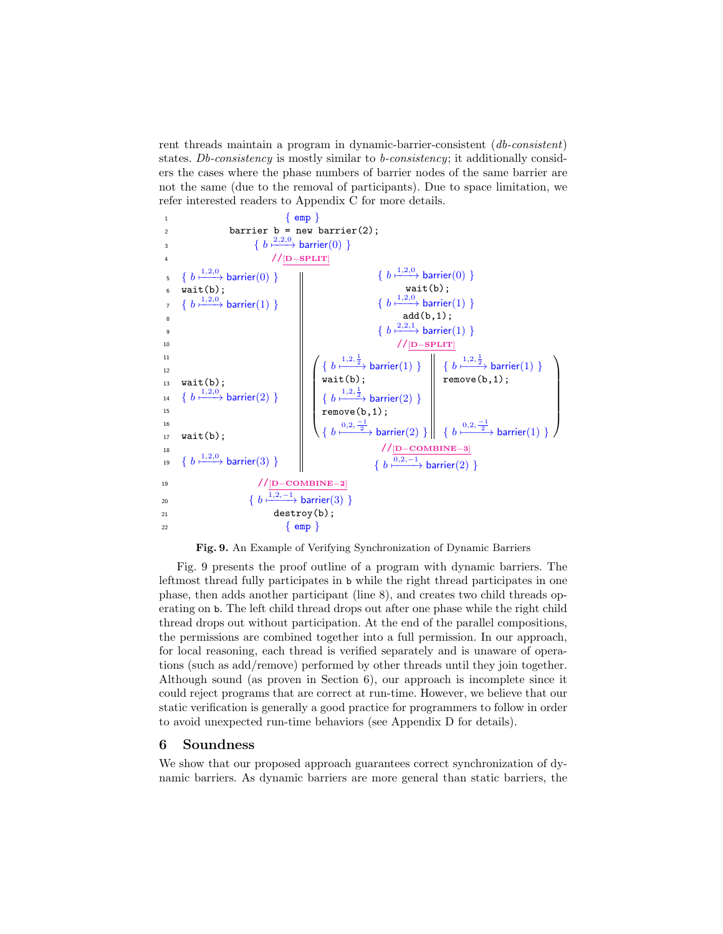rent threads maintain a program in dynamic-barrier-consistent (db-consistent) states. Db-consistency is mostly similar to b-consistency; it additionally considers the cases where the phase numbers of barrier nodes of the same barrier are not the same (due to the removal of participants). Due to space limitation, we refer interested readers to Appendix C for more details.

$$
\begin{array}{ll}\n & \left\{\text{ emp } \right\} \\
 \text{barr } b = \text{ new barrier } (2);\n\end{array}\n \begin{array}{l}\n & \left\{\text{b } \frac{1,2,0}{1,2,0}\text{ barrier}(0) \right\} \\
 & \left\{\text{b } \frac{1,2,0}{1,2,0}\text{ barrier}(0) \right\} \\
 & \left\{\text{wait}(b);\n\end{array}\n \right.\n \begin{array}{l}\n & \left\{\text{b } \frac{1,2,0}{1,2,0}\text{ barrier}(1) \right\} \\
 & \left\{\text{b } \frac{1,2,0}{1,2,0}\text{ barrier}(1) \right\} \\
 & \left\{\text{b } \frac{1,2,0}{1,2,0}\text{ barrier}(1) \right\} \\
 & \left\{\text{odd}(b,1);\n\end{array}\n \right.\n \begin{array}{l}\n & \left\{\text{b } \frac{1,2,0}{1,2,0}\text{ barrier}(1) \right\} \\
 & \left\{\text{odd}(b,1);\n\end{array}\n \right.\n \begin{array}{l}\n & \left\{\text{b } \frac{1,2,0}{1,2,0}\text{ barrier}(1) \right\} \\
 & \left\{\text{wait}(b);\n\end{array}\n \right.\n \begin{array}{l}\n & \left\{\text{unit}(b);\n\end{array}\n \right.\n \begin{array}{l}\n & \left\{\text{unit}(b);\n\end{array}\n \right.\n \begin{array}{l}\n & \left\{\text{unit}(b);\n\end{array}\n \right.\n \end{array}\n \begin{array}{l}\n & \left\{\text{unit}(b);\n\end{array}\n \right.\n \begin{array}{l}\n & \left\{\text{unit}(b);\n\end{array}\n \right.\n \begin{array}{l}\n & \left\{\text{unit}(b);\n\end{array}\n \right.\n \end{array}\n \begin{array}{l}\n & \left\{\text{unit}(b);\n\end{array}\n \right.\n \begin{array}{l}\n & \left\{\text{0.2, }\frac{-1}{2}\text{ barrier}(1) \right\} \right.\n \end{array}\n \begin{array}{l}\n & \left\{\text{unit}(b);\n\end{array}\n \right.\n \begin{array}{l}\n & \left\{\text{unit}(b);\n\end{array}\n \right.\n \begin{array}{l}\n & \left\{\text{unit}(
$$

Fig. 9. An Example of Verifying Synchronization of Dynamic Barriers

Fig. 9 presents the proof outline of a program with dynamic barriers. The leftmost thread fully participates in b while the right thread participates in one phase, then adds another participant (line 8), and creates two child threads operating on b. The left child thread drops out after one phase while the right child thread drops out without participation. At the end of the parallel compositions, the permissions are combined together into a full permission. In our approach, for local reasoning, each thread is verified separately and is unaware of operations (such as add/remove) performed by other threads until they join together. Although sound (as proven in Section 6), our approach is incomplete since it could reject programs that are correct at run-time. However, we believe that our static verification is generally a good practice for programmers to follow in order to avoid unexpected run-time behaviors (see Appendix D for details).

# 6 Soundness

We show that our proposed approach guarantees correct synchronization of dynamic barriers. As dynamic barriers are more general than static barriers, the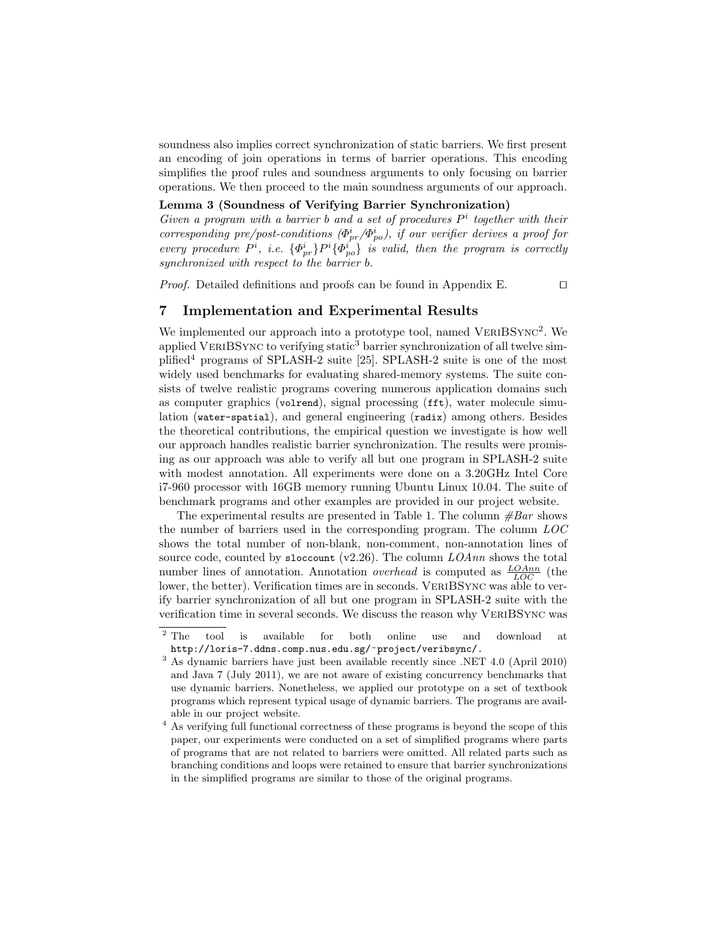soundness also implies correct synchronization of static barriers. We first present an encoding of join operations in terms of barrier operations. This encoding simplifies the proof rules and soundness arguments to only focusing on barrier operations. We then proceed to the main soundness arguments of our approach.

#### Lemma 3 (Soundness of Verifying Barrier Synchronization)

Given a program with a barrier b and a set of procedures  $P^i$  together with their corresponding pre/post-conditions  $(\Phi_{pr}^i / \Phi_{po}^i)$ , if our verifier derives a proof for every procedure  $P^i$ , i.e.  $\{\Phi_{pr}^i\}P^i\{\Phi_{po}^i\}$  is valid, then the program is correctly synchronized with respect to the barrier b.

*Proof.* Detailed definitions and proofs can be found in Appendix E.  $\Box$ 

# 7 Implementation and Experimental Results

We implemented our approach into a prototype tool, named VERIBSYNC<sup>2</sup>. We applied VERIBSYNC to verifying static<sup>3</sup> barrier synchronization of all twelve simplified<sup>4</sup> programs of SPLASH-2 suite [25]. SPLASH-2 suite is one of the most widely used benchmarks for evaluating shared-memory systems. The suite consists of twelve realistic programs covering numerous application domains such as computer graphics (volrend), signal processing (fft), water molecule simulation (water-spatial), and general engineering (radix) among others. Besides the theoretical contributions, the empirical question we investigate is how well our approach handles realistic barrier synchronization. The results were promising as our approach was able to verify all but one program in SPLASH-2 suite with modest annotation. All experiments were done on a 3.20GHz Intel Core i7-960 processor with 16GB memory running Ubuntu Linux 10.04. The suite of benchmark programs and other examples are provided in our project website.

The experimental results are presented in Table 1. The column  $#Bar$  shows the number of barriers used in the corresponding program. The column LOC shows the total number of non-blank, non-comment, non-annotation lines of source code, counted by sloccount (v2.26). The column  $LOAnn$  shows the total number lines of annotation. Annotation *overhead* is computed as  $\frac{LOAnn}{LOC}$  (the lower, the better). Verification times are in seconds. VERIBSYNC was able to verify barrier synchronization of all but one program in SPLASH-2 suite with the verification time in several seconds. We discuss the reason why VeriBSync was

<sup>&</sup>lt;sup>2</sup> The tool is available for both online use and download at http://loris-7.ddns.comp.nus.edu.sg/˜project/veribsync/.

<sup>&</sup>lt;sup>3</sup> As dynamic barriers have just been available recently since .NET 4.0 (April 2010) and Java 7 (July 2011), we are not aware of existing concurrency benchmarks that use dynamic barriers. Nonetheless, we applied our prototype on a set of textbook programs which represent typical usage of dynamic barriers. The programs are available in our project website.

<sup>4</sup> As verifying full functional correctness of these programs is beyond the scope of this paper, our experiments were conducted on a set of simplified programs where parts of programs that are not related to barriers were omitted. All related parts such as branching conditions and loops were retained to ensure that barrier synchronizations in the simplified programs are similar to those of the original programs.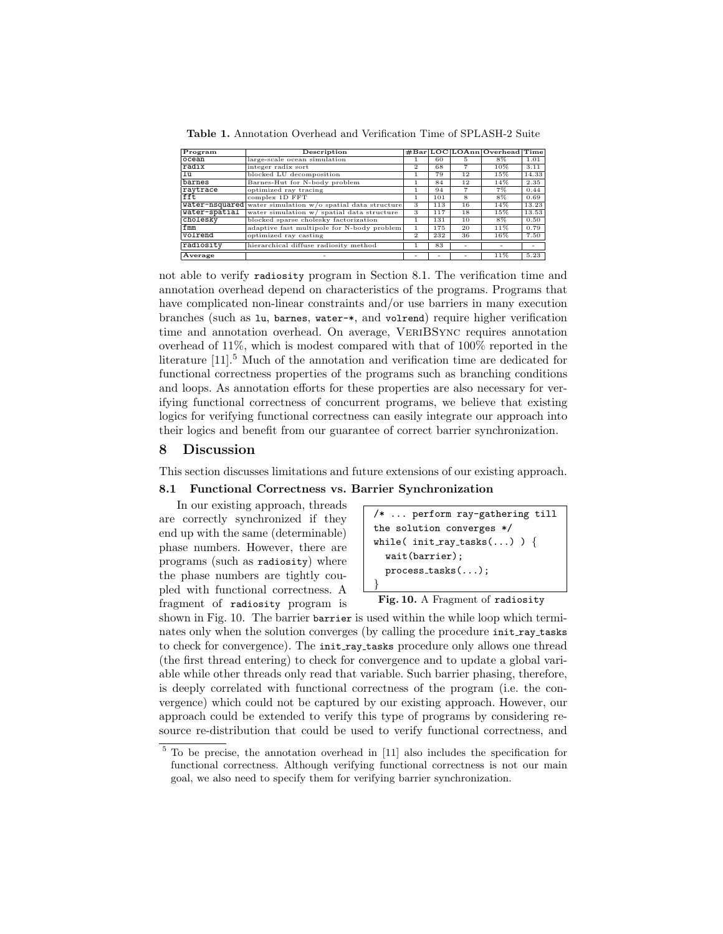| Program       | Description                                                |              |     |    | #Bar LOC LOAnn Overhead Time |       |
|---------------|------------------------------------------------------------|--------------|-----|----|------------------------------|-------|
| ocean         | large-scale ocean simulation                               |              | 60  | 5  | 8%                           | 1.01  |
| radix         | integer radix sort                                         | $\mathbf{2}$ | 68  |    | 10%                          | 3.11  |
| Ιu            | blocked LU decomposition                                   |              | 79  | 12 | 15%                          | 14.33 |
| barnes        | Barnes-Hut for N-body problem                              | 1            | 84  | 12 | 14%                          | 2.35  |
| raytrace      | optimized ray tracing                                      | Ŧ.           | 94  | 7  | $7\%$                        | 0.44  |
| fft           | complex 1D FFT                                             | 1.           | 101 | 8  | 8%                           | 0.69  |
|               | water-nsquared water simulation w/o spatial data structure | 3            | 113 | 16 | 14%                          | 13.23 |
| water-spatial | water simulation w/ spatial data structure                 | 3            | 117 | 18 | 15%                          | 13.53 |
| cholesky      | blocked sparse cholesky factorization                      | 1.           | 131 | 10 | 8%                           | 0.50  |
| fmm           | adaptive fast multipole for N-body problem                 |              | 175 | 20 | 11%                          | 0.79  |
| volrend       | optimized ray casting                                      | 2            | 232 | 36 | 16%                          | 7.50  |
| radiosity     | hierarchical diffuse radiosity method                      |              | 83  | ۰  |                              |       |

Average |  $11\%$   $5.23$ 

Table 1. Annotation Overhead and Verification Time of SPLASH-2 Suite

not able to verify radiosity program in Section 8.1. The verification time and annotation overhead depend on characteristics of the programs. Programs that have complicated non-linear constraints and/or use barriers in many execution branches (such as lu, barnes, water-\*, and volrend) require higher verification time and annotation overhead. On average, VeriBSync requires annotation overhead of 11%, which is modest compared with that of 100% reported in the literature [11].<sup>5</sup> Much of the annotation and verification time are dedicated for functional correctness properties of the programs such as branching conditions and loops. As annotation efforts for these properties are also necessary for verifying functional correctness of concurrent programs, we believe that existing logics for verifying functional correctness can easily integrate our approach into their logics and benefit from our guarantee of correct barrier synchronization.

# 8 Discussion

This section discusses limitations and future extensions of our existing approach.

### 8.1 Functional Correctness vs. Barrier Synchronization

In our existing approach, threads are correctly synchronized if they end up with the same (determinable) phase numbers. However, there are programs (such as radiosity) where the phase numbers are tightly coupled with functional correctness. A fragment of radiosity program is

```
/* ... perform ray-gathering till
the solution converges */
while( init_ray_tasks(...) ) {
  wait(barrier);
  process tasks(...);
}
```
Fig. 10. A Fragment of radiosity

shown in Fig. 10. The barrier barrier is used within the while loop which terminates only when the solution converges (by calling the procedure init ray tasks to check for convergence). The init ray tasks procedure only allows one thread (the first thread entering) to check for convergence and to update a global variable while other threads only read that variable. Such barrier phasing, therefore, is deeply correlated with functional correctness of the program (i.e. the convergence) which could not be captured by our existing approach. However, our approach could be extended to verify this type of programs by considering resource re-distribution that could be used to verify functional correctness, and

<sup>5</sup> To be precise, the annotation overhead in [11] also includes the specification for functional correctness. Although verifying functional correctness is not our main goal, we also need to specify them for verifying barrier synchronization.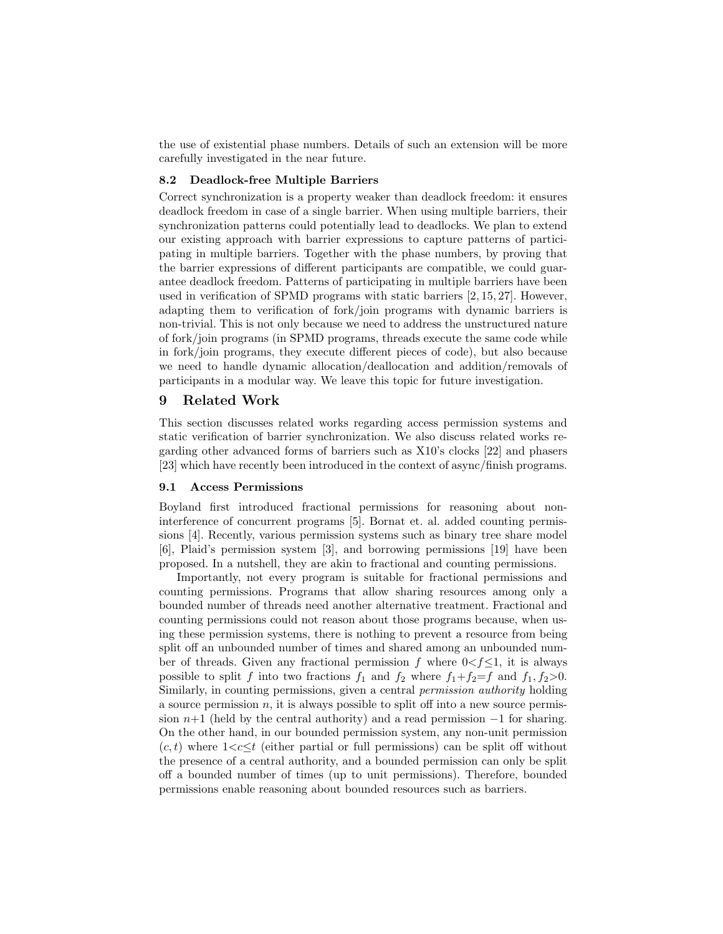the use of existential phase numbers. Details of such an extension will be more carefully investigated in the near future.

#### 8.2 Deadlock-free Multiple Barriers

Correct synchronization is a property weaker than deadlock freedom: it ensures deadlock freedom in case of a single barrier. When using multiple barriers, their synchronization patterns could potentially lead to deadlocks. We plan to extend our existing approach with barrier expressions to capture patterns of participating in multiple barriers. Together with the phase numbers, by proving that the barrier expressions of different participants are compatible, we could guarantee deadlock freedom. Patterns of participating in multiple barriers have been used in verification of SPMD programs with static barriers [2, 15, 27]. However, adapting them to verification of fork/join programs with dynamic barriers is non-trivial. This is not only because we need to address the unstructured nature of fork/join programs (in SPMD programs, threads execute the same code while in fork/join programs, they execute different pieces of code), but also because we need to handle dynamic allocation/deallocation and addition/removals of participants in a modular way. We leave this topic for future investigation.

### 9 Related Work

This section discusses related works regarding access permission systems and static verification of barrier synchronization. We also discuss related works regarding other advanced forms of barriers such as X10's clocks [22] and phasers [23] which have recently been introduced in the context of async/finish programs.

#### 9.1 Access Permissions

Boyland first introduced fractional permissions for reasoning about noninterference of concurrent programs [5]. Bornat et. al. added counting permissions [4]. Recently, various permission systems such as binary tree share model [6], Plaid's permission system [3], and borrowing permissions [19] have been proposed. In a nutshell, they are akin to fractional and counting permissions.

Importantly, not every program is suitable for fractional permissions and counting permissions. Programs that allow sharing resources among only a bounded number of threads need another alternative treatment. Fractional and counting permissions could not reason about those programs because, when using these permission systems, there is nothing to prevent a resource from being split off an unbounded number of times and shared among an unbounded number of threads. Given any fractional permission f where  $0 < f \leq 1$ , it is always possible to split f into two fractions  $f_1$  and  $f_2$  where  $f_1+f_2=f$  and  $f_1, f_2>0$ . Similarly, in counting permissions, given a central permission authority holding a source permission  $n$ , it is always possible to split off into a new source permission  $n+1$  (held by the central authority) and a read permission  $-1$  for sharing. On the other hand, in our bounded permission system, any non-unit permission  $(c, t)$  where  $1 < c \leq t$  (either partial or full permissions) can be split off without the presence of a central authority, and a bounded permission can only be split off a bounded number of times (up to unit permissions). Therefore, bounded permissions enable reasoning about bounded resources such as barriers.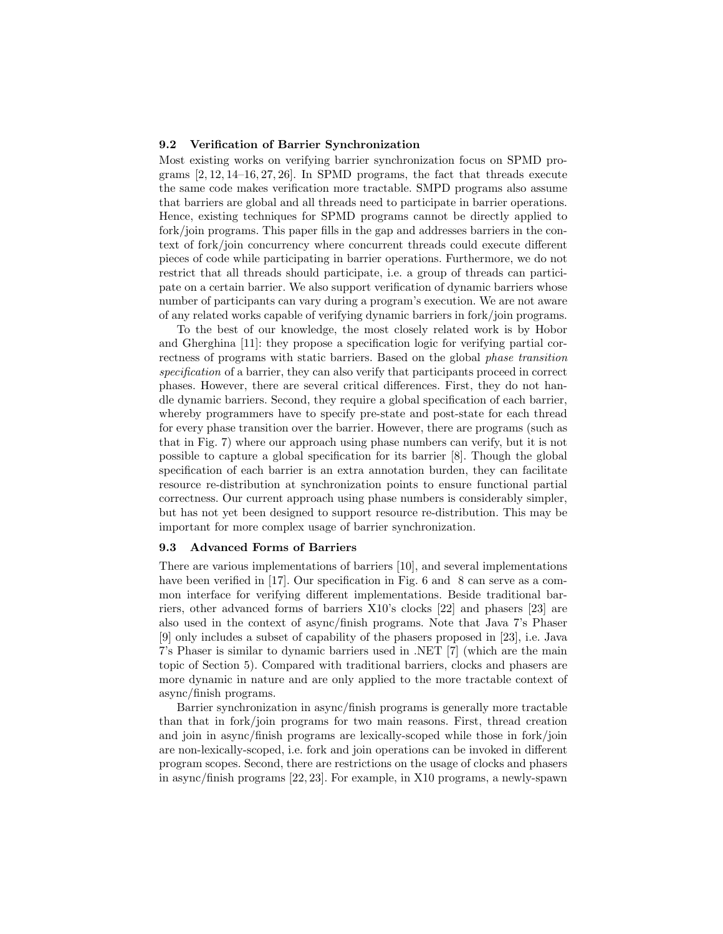#### 9.2 Verification of Barrier Synchronization

Most existing works on verifying barrier synchronization focus on SPMD programs [2, 12, 14–16, 27, 26]. In SPMD programs, the fact that threads execute the same code makes verification more tractable. SMPD programs also assume that barriers are global and all threads need to participate in barrier operations. Hence, existing techniques for SPMD programs cannot be directly applied to fork/join programs. This paper fills in the gap and addresses barriers in the context of fork/join concurrency where concurrent threads could execute different pieces of code while participating in barrier operations. Furthermore, we do not restrict that all threads should participate, i.e. a group of threads can participate on a certain barrier. We also support verification of dynamic barriers whose number of participants can vary during a program's execution. We are not aware of any related works capable of verifying dynamic barriers in fork/join programs.

To the best of our knowledge, the most closely related work is by Hobor and Gherghina [11]: they propose a specification logic for verifying partial correctness of programs with static barriers. Based on the global phase transition specification of a barrier, they can also verify that participants proceed in correct phases. However, there are several critical differences. First, they do not handle dynamic barriers. Second, they require a global specification of each barrier, whereby programmers have to specify pre-state and post-state for each thread for every phase transition over the barrier. However, there are programs (such as that in Fig. 7) where our approach using phase numbers can verify, but it is not possible to capture a global specification for its barrier [8]. Though the global specification of each barrier is an extra annotation burden, they can facilitate resource re-distribution at synchronization points to ensure functional partial correctness. Our current approach using phase numbers is considerably simpler, but has not yet been designed to support resource re-distribution. This may be important for more complex usage of barrier synchronization.

#### 9.3 Advanced Forms of Barriers

There are various implementations of barriers [10], and several implementations have been verified in [17]. Our specification in Fig. 6 and 8 can serve as a common interface for verifying different implementations. Beside traditional barriers, other advanced forms of barriers X10's clocks [22] and phasers [23] are also used in the context of async/finish programs. Note that Java 7's Phaser [9] only includes a subset of capability of the phasers proposed in [23], i.e. Java 7's Phaser is similar to dynamic barriers used in .NET [7] (which are the main topic of Section 5). Compared with traditional barriers, clocks and phasers are more dynamic in nature and are only applied to the more tractable context of async/finish programs.

Barrier synchronization in async/finish programs is generally more tractable than that in fork/join programs for two main reasons. First, thread creation and join in async/finish programs are lexically-scoped while those in fork/join are non-lexically-scoped, i.e. fork and join operations can be invoked in different program scopes. Second, there are restrictions on the usage of clocks and phasers in async/finish programs [22, 23]. For example, in X10 programs, a newly-spawn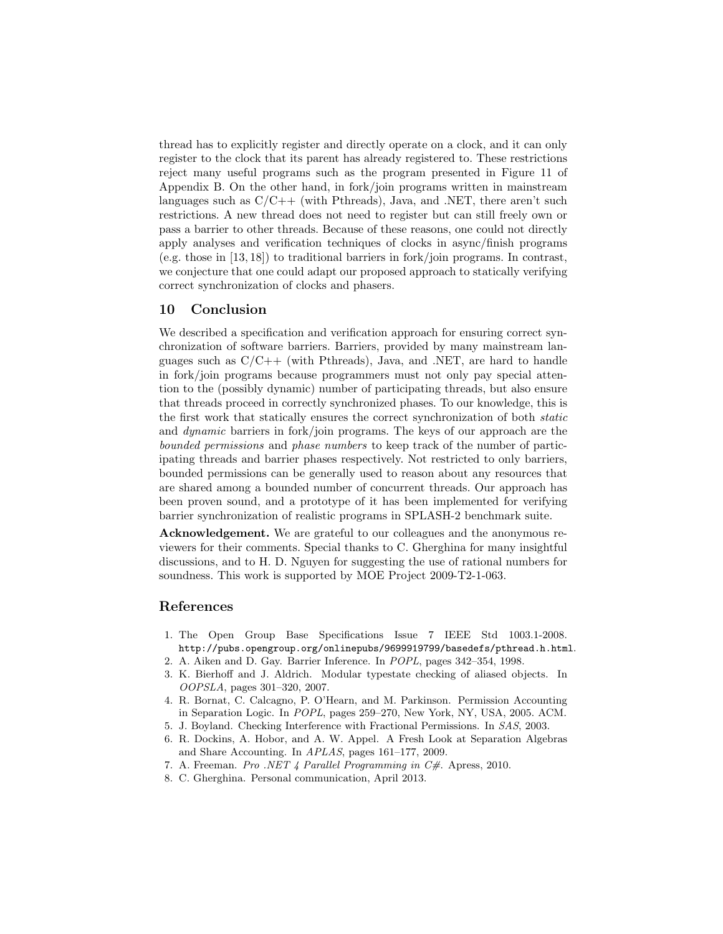thread has to explicitly register and directly operate on a clock, and it can only register to the clock that its parent has already registered to. These restrictions reject many useful programs such as the program presented in Figure 11 of Appendix B. On the other hand, in fork/join programs written in mainstream languages such as  $C/C++$  (with Pthreads), Java, and .NET, there aren't such restrictions. A new thread does not need to register but can still freely own or pass a barrier to other threads. Because of these reasons, one could not directly apply analyses and verification techniques of clocks in async/finish programs (e.g. those in [13, 18]) to traditional barriers in fork/join programs. In contrast, we conjecture that one could adapt our proposed approach to statically verifying correct synchronization of clocks and phasers.

# 10 Conclusion

We described a specification and verification approach for ensuring correct synchronization of software barriers. Barriers, provided by many mainstream languages such as  $C/C++$  (with Pthreads), Java, and .NET, are hard to handle in fork/join programs because programmers must not only pay special attention to the (possibly dynamic) number of participating threads, but also ensure that threads proceed in correctly synchronized phases. To our knowledge, this is the first work that statically ensures the correct synchronization of both static and dynamic barriers in fork/join programs. The keys of our approach are the bounded permissions and phase numbers to keep track of the number of participating threads and barrier phases respectively. Not restricted to only barriers, bounded permissions can be generally used to reason about any resources that are shared among a bounded number of concurrent threads. Our approach has been proven sound, and a prototype of it has been implemented for verifying barrier synchronization of realistic programs in SPLASH-2 benchmark suite.

Acknowledgement. We are grateful to our colleagues and the anonymous reviewers for their comments. Special thanks to C. Gherghina for many insightful discussions, and to H. D. Nguyen for suggesting the use of rational numbers for soundness. This work is supported by MOE Project 2009-T2-1-063.

# References

- 1. The Open Group Base Specifications Issue 7 IEEE Std 1003.1-2008. http://pubs.opengroup.org/onlinepubs/9699919799/basedefs/pthread.h.html.
- 2. A. Aiken and D. Gay. Barrier Inference. In POPL, pages 342–354, 1998.
- 3. K. Bierhoff and J. Aldrich. Modular typestate checking of aliased objects. In OOPSLA, pages 301–320, 2007.
- 4. R. Bornat, C. Calcagno, P. O'Hearn, and M. Parkinson. Permission Accounting in Separation Logic. In POPL, pages 259–270, New York, NY, USA, 2005. ACM.
- 5. J. Boyland. Checking Interference with Fractional Permissions. In SAS, 2003.
- 6. R. Dockins, A. Hobor, and A. W. Appel. A Fresh Look at Separation Algebras and Share Accounting. In APLAS, pages 161–177, 2009.
- 7. A. Freeman. Pro .NET 4 Parallel Programming in C#. Apress, 2010.
- 8. C. Gherghina. Personal communication, April 2013.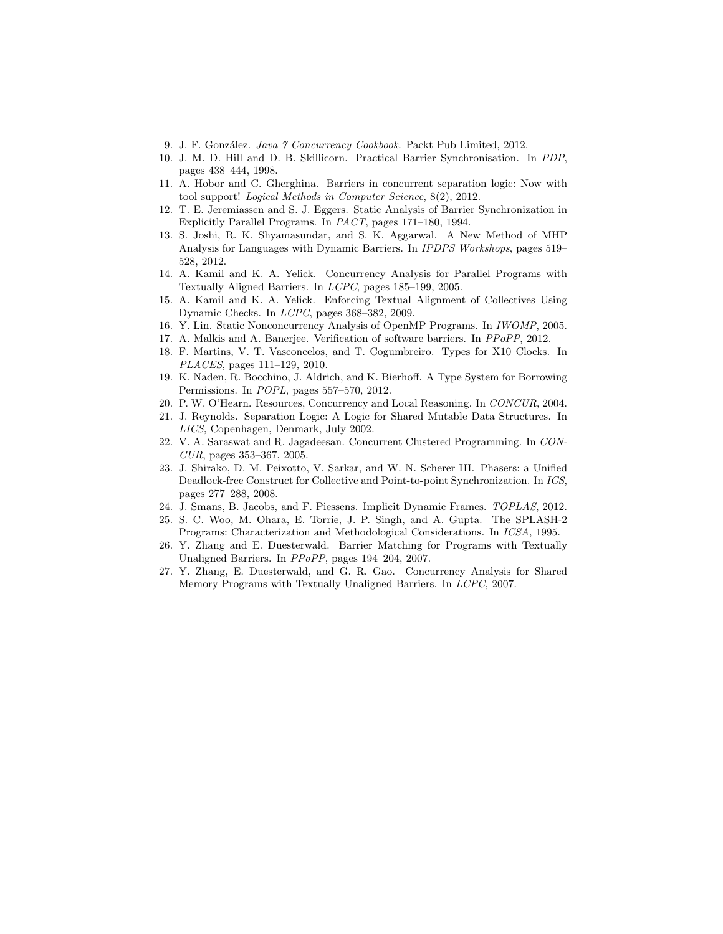- 9. J. F. González. Java 7 Concurrency Cookbook. Packt Pub Limited, 2012.
- 10. J. M. D. Hill and D. B. Skillicorn. Practical Barrier Synchronisation. In PDP, pages 438–444, 1998.
- 11. A. Hobor and C. Gherghina. Barriers in concurrent separation logic: Now with tool support! Logical Methods in Computer Science, 8(2), 2012.
- 12. T. E. Jeremiassen and S. J. Eggers. Static Analysis of Barrier Synchronization in Explicitly Parallel Programs. In PACT, pages 171–180, 1994.
- 13. S. Joshi, R. K. Shyamasundar, and S. K. Aggarwal. A New Method of MHP Analysis for Languages with Dynamic Barriers. In IPDPS Workshops, pages 519– 528, 2012.
- 14. A. Kamil and K. A. Yelick. Concurrency Analysis for Parallel Programs with Textually Aligned Barriers. In LCPC, pages 185–199, 2005.
- 15. A. Kamil and K. A. Yelick. Enforcing Textual Alignment of Collectives Using Dynamic Checks. In LCPC, pages 368–382, 2009.
- 16. Y. Lin. Static Nonconcurrency Analysis of OpenMP Programs. In IWOMP, 2005.
- 17. A. Malkis and A. Banerjee. Verification of software barriers. In PPoPP, 2012.
- 18. F. Martins, V. T. Vasconcelos, and T. Cogumbreiro. Types for X10 Clocks. In PLACES, pages 111–129, 2010.
- 19. K. Naden, R. Bocchino, J. Aldrich, and K. Bierhoff. A Type System for Borrowing Permissions. In POPL, pages 557–570, 2012.
- 20. P. W. O'Hearn. Resources, Concurrency and Local Reasoning. In CONCUR, 2004.
- 21. J. Reynolds. Separation Logic: A Logic for Shared Mutable Data Structures. In LICS, Copenhagen, Denmark, July 2002.
- 22. V. A. Saraswat and R. Jagadeesan. Concurrent Clustered Programming. In CON-CUR, pages 353–367, 2005.
- 23. J. Shirako, D. M. Peixotto, V. Sarkar, and W. N. Scherer III. Phasers: a Unified Deadlock-free Construct for Collective and Point-to-point Synchronization. In ICS, pages 277–288, 2008.
- 24. J. Smans, B. Jacobs, and F. Piessens. Implicit Dynamic Frames. TOPLAS, 2012.
- 25. S. C. Woo, M. Ohara, E. Torrie, J. P. Singh, and A. Gupta. The SPLASH-2 Programs: Characterization and Methodological Considerations. In ICSA, 1995.
- 26. Y. Zhang and E. Duesterwald. Barrier Matching for Programs with Textually Unaligned Barriers. In PPoPP, pages 194–204, 2007.
- 27. Y. Zhang, E. Duesterwald, and G. R. Gao. Concurrency Analysis for Shared Memory Programs with Textually Unaligned Barriers. In LCPC, 2007.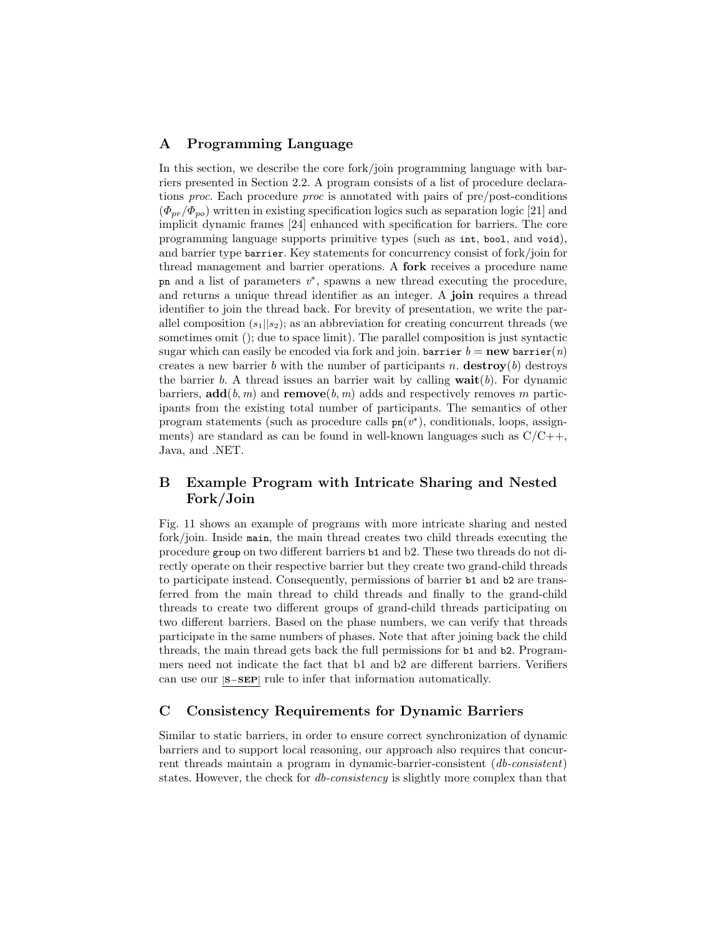# A Programming Language

In this section, we describe the core fork/join programming language with barriers presented in Section 2.2. A program consists of a list of procedure declarations proc. Each procedure proc is annotated with pairs of pre/post-conditions  $(\Phi_{nr}/\Phi_{no})$  written in existing specification logics such as separation logic [21] and implicit dynamic frames [24] enhanced with specification for barriers. The core programming language supports primitive types (such as int, bool, and void), and barrier type barrier. Key statements for concurrency consist of fork/join for thread management and barrier operations. A fork receives a procedure name pn and a list of parameters v ∗ , spawns a new thread executing the procedure, and returns a unique thread identifier as an integer. A join requires a thread identifier to join the thread back. For brevity of presentation, we write the parallel composition  $(s_1||s_2)$ ; as an abbreviation for creating concurrent threads (we sometimes omit (); due to space limit). The parallel composition is just syntactic sugar which can easily be encoded via fork and join. barrier  $b = new \, barrier(n)$ creates a new barrier b with the number of participants n.  $\text{destroy}(b)$  destroys the barrier b. A thread issues an barrier wait by calling  $\textbf{wait}(b)$ . For dynamic barriers,  $\mathbf{add}(b, m)$  and  $\mathbf{remove}(b, m)$  adds and respectively removes m participants from the existing total number of participants. The semantics of other program statements (such as procedure calls  $\text{pn}(v^*)$ , conditionals, loops, assignments) are standard as can be found in well-known languages such as  $C/C++$ . Java, and .NET.

# B Example Program with Intricate Sharing and Nested Fork/Join

Fig. 11 shows an example of programs with more intricate sharing and nested fork/join. Inside main, the main thread creates two child threads executing the procedure group on two different barriers b1 and b2. These two threads do not directly operate on their respective barrier but they create two grand-child threads to participate instead. Consequently, permissions of barrier b1 and b2 are transferred from the main thread to child threads and finally to the grand-child threads to create two different groups of grand-child threads participating on two different barriers. Based on the phase numbers, we can verify that threads participate in the same numbers of phases. Note that after joining back the child threads, the main thread gets back the full permissions for b1 and b2. Programmers need not indicate the fact that b1 and b2 are different barriers. Verifiers can use our [S−SEP] rule to infer that information automatically.

# C Consistency Requirements for Dynamic Barriers

Similar to static barriers, in order to ensure correct synchronization of dynamic barriers and to support local reasoning, our approach also requires that concurrent threads maintain a program in dynamic-barrier-consistent (*db-consistent*) states. However, the check for *db-consistency* is slightly more complex than that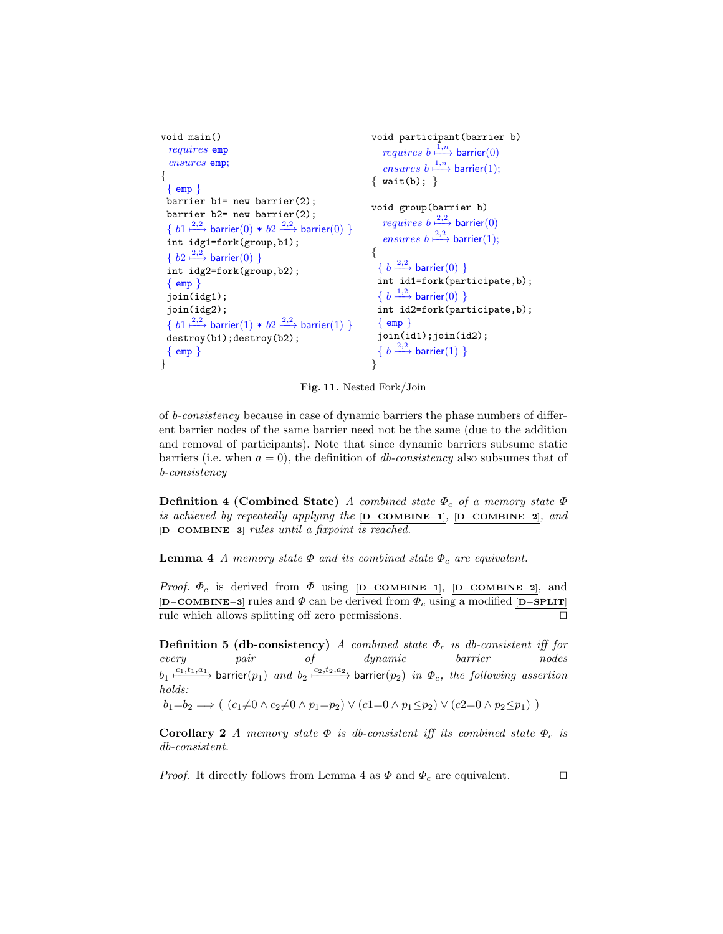```
void main()
  requires emp
  ensures emp;
{
 \{ emp \}barrier b1= new barrier(2);
 barrier b2= new barrier(2);
  \{ b1 \stackrel{2,2}{\longmapsto} \text{barrier}(0) * b2 \stackrel{2,2}{\longmapsto} \text{barrier}(0) \}int idg1=fork(group,b1);
  {b2 \xrightarrow{2,2} \text{barrier}(0)}int idg2=fork(group,b2);
 { emp }
 join(idg1);
 join(idg2);
  \{ b1 \stackrel{2,2}{\longmapsto} \text{barrier}(1) * b2 \stackrel{2,2}{\longmapsto} \text{barrier}(1) \}destroy(b1); destroy(b2);
 \{ emp \}}
                                                                  void participant(barrier b)
                                                                      requires \ b \stackrel{1,n}{\longmapsto} barrier(0)ensures \t b \overset{1,n}{\longmapsto} \t barrier(1);\{ wait(b); \}void group(barrier b)
                                                                      requires \ b \stackrel{2,2}{\longmapsto} \text{barrier}(0)ensures b \stackrel{2,2}{\longmapsto} \text{barrier}(1);{
                                                                     \{b \stackrel{2,2}{\longmapsto} \text{barrier}(0)\}int id1=fork(participate,b);
                                                                     \{b \stackrel{1,2}{\longmapsto} \text{barrier}(0)\}int id2=fork(participate,b);
                                                                    \{ emp \}join(id1);join(id2);
                                                                     \{b \stackrel{2,2}{\longmapsto} \text{barrier}(1)\}}
```
Fig. 11. Nested Fork/Join

of b-consistency because in case of dynamic barriers the phase numbers of different barrier nodes of the same barrier need not be the same (due to the addition and removal of participants). Note that since dynamic barriers subsume static barriers (i.e. when  $a = 0$ ), the definition of *db-consistency* also subsumes that of b-consistency

**Definition 4 (Combined State)** A combined state  $\Phi_c$  of a memory state  $\Phi$ is achieved by repeatedly applying the [D−COMBINE−1], [D−COMBINE−2], and [D−COMBINE−3] rules until a fixpoint is reached.

**Lemma 4** A memory state  $\Phi$  and its combined state  $\Phi_c$  are equivalent.

*Proof.*  $\Phi_c$  is derived from  $\Phi$  using [D–COMBINE−1], [D–COMBINE−2], and [D−COMBINE−3] rules and  $\Phi$  can be derived from  $\Phi_c$  using a modified [D−SPLIT] rule which allows splitting off zero permissions.  $\Box$ 

**Definition 5 (db-consistency)** A combined state  $\Phi_c$  is db-consistent iff for every pair of dynamic barrier nodes  $b_1 \xrightarrow{c_1,t_1,a_1}$  barrier $(p_1)$  and  $b_2 \xrightarrow{c_2,t_2,a_2}$  barrier $(p_2)$  in  $\Phi_c$ , the following assertion holds:

$$
b_1=b_2 \Longrightarrow ( (c_1\neq 0 \land c_2\neq 0 \land p_1=p_2) \lor (c1=0 \land p_1\leq p_2) \lor (c2=0 \land p_2\leq p_1) )
$$

**Corollary 2** A memory state  $\Phi$  is db-consistent iff its combined state  $\Phi_c$  is db-consistent.

*Proof.* It directly follows from Lemma 4 as  $\Phi$  and  $\Phi_c$  are equivalent.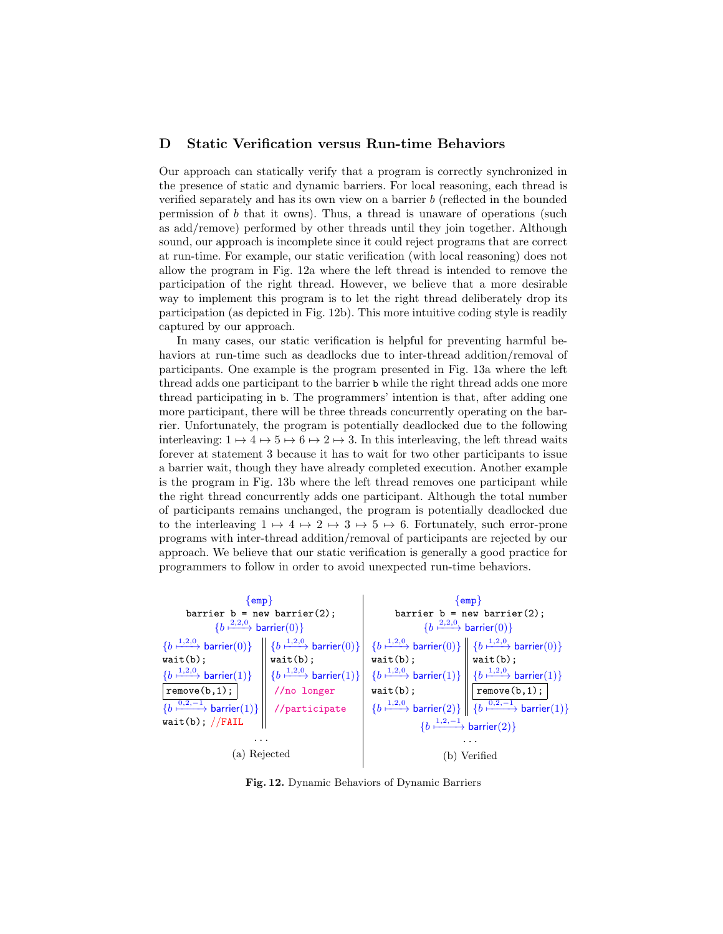# D Static Verification versus Run-time Behaviors

Our approach can statically verify that a program is correctly synchronized in the presence of static and dynamic barriers. For local reasoning, each thread is verified separately and has its own view on a barrier b (reflected in the bounded permission of b that it owns). Thus, a thread is unaware of operations (such as add/remove) performed by other threads until they join together. Although sound, our approach is incomplete since it could reject programs that are correct at run-time. For example, our static verification (with local reasoning) does not allow the program in Fig. 12a where the left thread is intended to remove the participation of the right thread. However, we believe that a more desirable way to implement this program is to let the right thread deliberately drop its participation (as depicted in Fig. 12b). This more intuitive coding style is readily captured by our approach.

In many cases, our static verification is helpful for preventing harmful behaviors at run-time such as deadlocks due to inter-thread addition/removal of participants. One example is the program presented in Fig. 13a where the left thread adds one participant to the barrier b while the right thread adds one more thread participating in b. The programmers' intention is that, after adding one more participant, there will be three threads concurrently operating on the barrier. Unfortunately, the program is potentially deadlocked due to the following interleaving:  $1 \mapsto 4 \mapsto 5 \mapsto 6 \mapsto 2 \mapsto 3$ . In this interleaving, the left thread waits forever at statement 3 because it has to wait for two other participants to issue a barrier wait, though they have already completed execution. Another example is the program in Fig. 13b where the left thread removes one participant while the right thread concurrently adds one participant. Although the total number of participants remains unchanged, the program is potentially deadlocked due to the interleaving  $1 \mapsto 4 \mapsto 2 \mapsto 3 \mapsto 5 \mapsto 6$ . Fortunately, such error-prone programs with inter-thread addition/removal of participants are rejected by our approach. We believe that our static verification is generally a good practice for programmers to follow in order to avoid unexpected run-time behaviors.

| $\{\texttt{emp}\}$<br>barrier $b = new barrier(2)$ ;                                                                                                                                                                                                                                                                                                                                                                                                                              |  | $\{emp\}$<br>barrier $b = new barrier(2)$ ;               |              |
|-----------------------------------------------------------------------------------------------------------------------------------------------------------------------------------------------------------------------------------------------------------------------------------------------------------------------------------------------------------------------------------------------------------------------------------------------------------------------------------|--|-----------------------------------------------------------|--------------|
| $\{b \stackrel{2,2,0}{\longmapsto} \text{barrier}(0)\}\$                                                                                                                                                                                                                                                                                                                                                                                                                          |  | $\{b \stackrel{2,2,0}{\longmapsto} \text{barrier}(0)\}\$  |              |
| $\begin{array}{llllll} \{b \xrightarrow{1,2,0} \text{barrier}(0)\} & \{b \xrightarrow{1,2,0} \text{barrier}(0)\} & \{b \xrightarrow{1,2,0} \text{barrier}(0)\} & \{b \xrightarrow{1,2,0} \text{barrier}(0)\} & \{b \xrightarrow{1,2,0} \text{barrier}(0)\} & \text{wait (b)} \text{.} & \{b \xrightarrow{1,2,0} \text{barrier}(1)\} & \{b \xrightarrow{1,2,0} \text{barrier}(1)\} & \{b \xrightarrow{1,2,0} \text{barrier}(1)\} & \{b \xrightarrow{1,2,0} \$<br>wait(b); $//FAIL$ |  | $\{b \stackrel{1,2,-1}{\longmapsto} \text{barrier}(2)\}\$ |              |
| (a) Rejected                                                                                                                                                                                                                                                                                                                                                                                                                                                                      |  |                                                           | (b) Verified |

Fig. 12. Dynamic Behaviors of Dynamic Barriers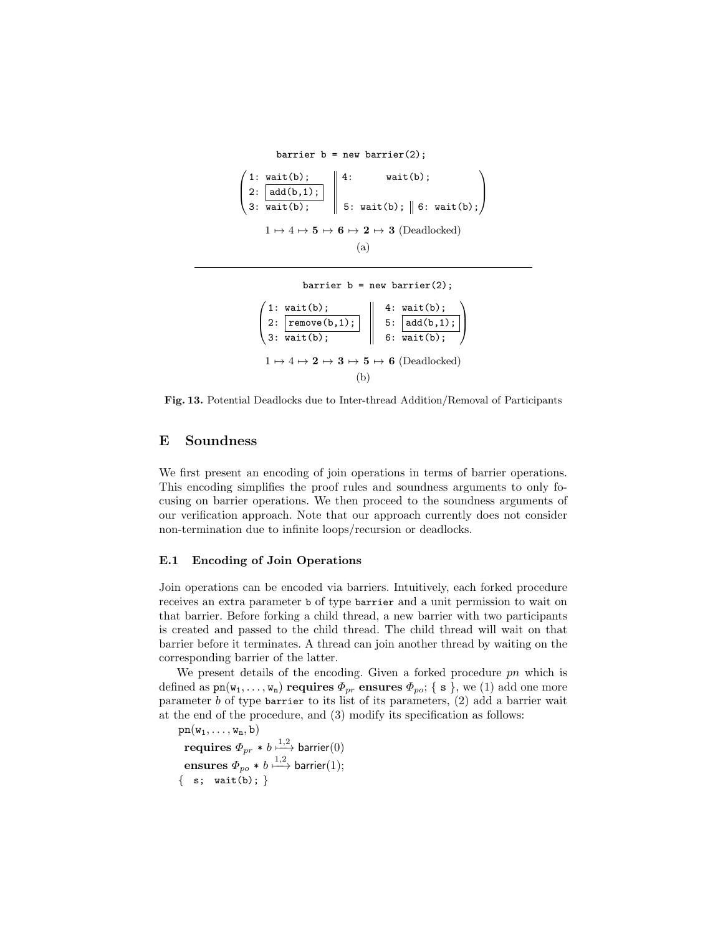barrier  $b = new barrier(2)$ ;

 $\sqrt{ }$  $\left\vert \right\vert$ 1:  $wait(b)$ ;  $||4: \text{wait(b)}$ ;  $2: |add(b,1);$  $3: \text{ wait(b)}; \quad \parallel 5: \text{ wait(b)}; \parallel 6: \text{ wait(b)};$  $\setminus$  $\vert$  $1 \mapsto 4 \mapsto 5 \mapsto 6 \mapsto 2 \mapsto 3$  (Deadlocked) (a)

barrier  $b = new barrier(2)$ ;

| $\int$ 1: wait(b);                                                                                                  | $4: \underline{wait(b)}$ ;                              |  |  |  |  |
|---------------------------------------------------------------------------------------------------------------------|---------------------------------------------------------|--|--|--|--|
| $\left(\begin{array}{c} \n 2: \overbrace{\text{remove}(b,1);} \quad \text{3: } \text{wait}(b)\n \end{array}\right)$ | 5: $\left[\frac{add(b,1);}{6: \text{ wait}(b);}\right]$ |  |  |  |  |
|                                                                                                                     |                                                         |  |  |  |  |
| $1 \mapsto 4 \mapsto 2 \mapsto 3 \mapsto 5 \mapsto 6$ (Deadlocked)                                                  |                                                         |  |  |  |  |

Fig. 13. Potential Deadlocks due to Inter-thread Addition/Removal of Participants

# E Soundness

We first present an encoding of join operations in terms of barrier operations. This encoding simplifies the proof rules and soundness arguments to only focusing on barrier operations. We then proceed to the soundness arguments of our verification approach. Note that our approach currently does not consider non-termination due to infinite loops/recursion or deadlocks.

#### E.1 Encoding of Join Operations

Join operations can be encoded via barriers. Intuitively, each forked procedure receives an extra parameter b of type barrier and a unit permission to wait on that barrier. Before forking a child thread, a new barrier with two participants is created and passed to the child thread. The child thread will wait on that barrier before it terminates. A thread can join another thread by waiting on the corresponding barrier of the latter.

We present details of the encoding. Given a forked procedure  $pn$  which is defined as  $\text{pn}(w_1, \ldots, w_n)$  requires  $\Phi_{pr}$  ensures  $\Phi_{po}$ ; { s }, we (1) add one more parameter b of type barrier to its list of its parameters, (2) add a barrier wait at the end of the procedure, and (3) modify its specification as follows:

```
pn(w_1, \ldots, w_n, b)\textbf{requires} \; \varPhi_{pr} \ast b \stackrel{1,2}{\longmapsto} \textbf{barrier}(0)ensures \varPhi_{po}\ast b\stackrel{1,2}{\longmapsto} barrier(1);\{ s; \text{ wait}(b); \}
```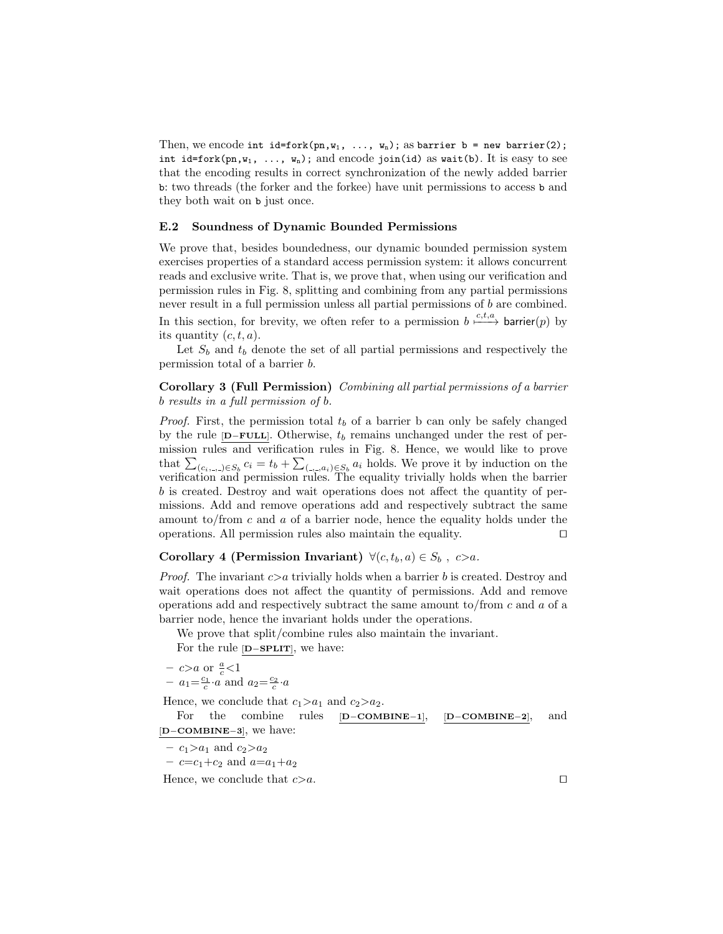Then, we encode int id=fork(pn,w<sub>1</sub>, ..., w<sub>n</sub>); as barrier b = new barrier(2); int id=fork( $pn, w_1, \ldots, w_n$ ); and encode join(id) as wait(b). It is easy to see that the encoding results in correct synchronization of the newly added barrier b: two threads (the forker and the forkee) have unit permissions to access b and they both wait on b just once.

#### E.2 Soundness of Dynamic Bounded Permissions

We prove that, besides boundedness, our dynamic bounded permission system exercises properties of a standard access permission system: it allows concurrent reads and exclusive write. That is, we prove that, when using our verification and permission rules in Fig. 8, splitting and combining from any partial permissions never result in a full permission unless all partial permissions of b are combined. In this section, for brevity, we often refer to a permission  $b \stackrel{c,t,a}{\longmapsto}$  barrier(p) by its quantity  $(c, t, a)$ .

Let  $S_b$  and  $t_b$  denote the set of all partial permissions and respectively the permission total of a barrier b.

Corollary 3 (Full Permission) Combining all partial permissions of a barrier b results in a full permission of b.

*Proof.* First, the permission total  $t<sub>b</sub>$  of a barrier b can only be safely changed by the rule [D–FULL]. Otherwise,  $t<sub>b</sub>$  remains unchanged under the rest of permission rules and verification rules in Fig. 8. Hence, we would like to prove that  $\sum_{(c_i, \ldots) \in S_b} c_i = t_b + \sum_{(s_i, a_i) \in S_b} a_i$  holds. We prove it by induction on the verification and permission rules. The equality trivially holds when the barrier b is created. Destroy and wait operations does not affect the quantity of permissions. Add and remove operations add and respectively subtract the same amount to/from  $c$  and  $a$  of a barrier node, hence the equality holds under the operations. All permission rules also maintain the equality.  $\Box$ 

### Corollary 4 (Permission Invariant)  $\forall (c, t_b, a) \in S_b$ ,  $c > a$ .

*Proof.* The invariant  $c > a$  trivially holds when a barrier b is created. Destroy and wait operations does not affect the quantity of permissions. Add and remove operations add and respectively subtract the same amount to/from  $c$  and  $a$  of a barrier node, hence the invariant holds under the operations.

We prove that split/combine rules also maintain the invariant.

For the rule [D−SPLIT], we have:

$$
-c>a
$$
 or  $\frac{a}{c}<1$   
=  $a_1 - \frac{c_1}{a_1} \cdot a$  and  $a_2$ 

- 
$$
a_1 = \frac{c_1}{c} \cdot a
$$
 and  $a_2 = \frac{c_2}{c} \cdot a$ 

Hence, we conclude that  $c_1> a_1$  and  $c_2> a_2$ .

For the combine rules [D−COMBINE−1], [D−COMBINE−2], and [D−COMBINE−3], we have:

- $c_1 > a_1$  and  $c_2 > a_2$
- $c = c_1 + c_2$  and  $a = a_1 + a_2$

Hence, we conclude that  $c > a$ .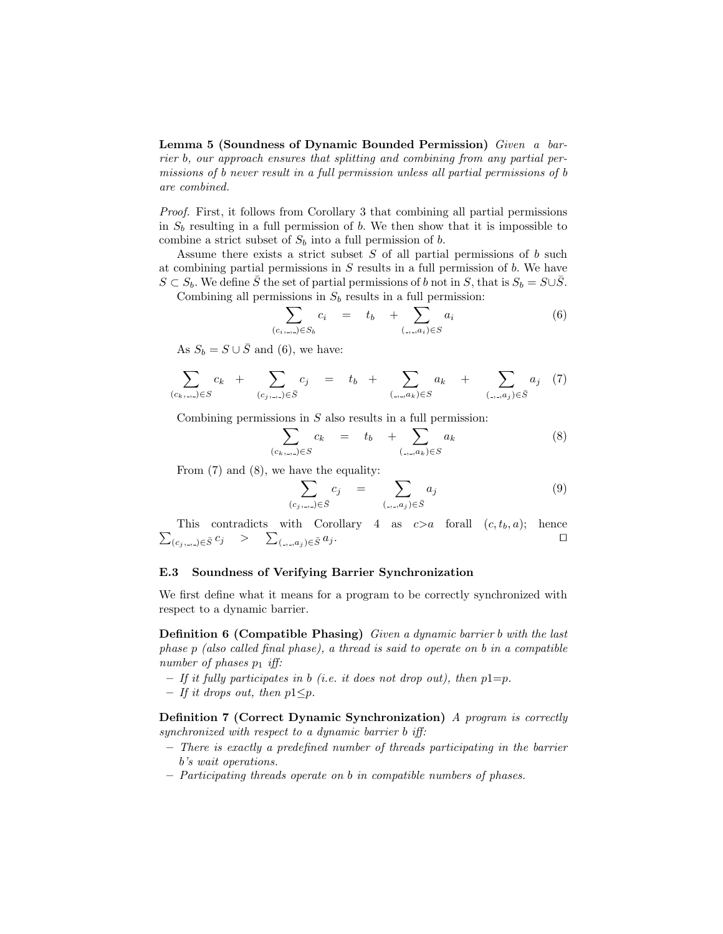Lemma 5 (Soundness of Dynamic Bounded Permission) Given a barrier b, our approach ensures that splitting and combining from any partial permissions of b never result in a full permission unless all partial permissions of b are combined.

Proof. First, it follows from Corollary 3 that combining all partial permissions in  $S_b$  resulting in a full permission of b. We then show that it is impossible to combine a strict subset of  $S_b$  into a full permission of b.

Assume there exists a strict subset  $S$  of all partial permissions of  $b$  such at combining partial permissions in  $S$  results in a full permission of  $b$ . We have  $S \subset S_b$ . We define S the set of partial permissions of b not in S, that is  $S_b = S \cup S$ .

Combining all permissions in  $S_b$  results in a full permission:

$$
\sum_{(c_i, \ldots) \in S_b} c_i = t_b + \sum_{(\ldots, a_i) \in S} a_i \tag{6}
$$

As  $S_b = S \cup \overline{S}$  and (6), we have:

$$
\sum_{(c_k, \ldots) \in S} c_k + \sum_{(c_j, \ldots) \in \bar{S}} c_j = t_b + \sum_{(\ldots, a_k) \in S} a_k + \sum_{(\ldots, a_j) \in \bar{S}} a_j \quad (7)
$$

Combining permissions in  $S$  also results in a full permission:

$$
\sum_{(c_k, \ldots) \in S} c_k = t_b + \sum_{(\ldots, a_k) \in S} a_k \tag{8}
$$

From (7) and (8), we have the equality:

 $(c_j)$ 

$$
\sum_{\ldots,\ldots,\in\bar{S}} c_j = \sum_{\ldots,a_j\in\bar{S}} a_j \tag{9}
$$

 $\sum_{(c_j, , ., \ell) \in \bar{S}} c_j \quad > \quad \sum_{(c_j, , a_j) \in \bar{S}} a_j.$ This contradicts with Corollary 4 as  $c>a$  forall  $(c, t_b, a)$ ; hence

### E.3 Soundness of Verifying Barrier Synchronization

We first define what it means for a program to be correctly synchronized with respect to a dynamic barrier.

Definition 6 (Compatible Phasing) Given a dynamic barrier b with the last phase p (also called final phase), a thread is said to operate on b in a compatible number of phases  $p_1$  iff:

- $-$  If it fully participates in b (i.e. it does not drop out), then  $p1=p$ .
- If it drops out, then  $p1 \leq p$ .

Definition 7 (Correct Dynamic Synchronization) A program is correctly synchronized with respect to a dynamic barrier b iff:

- There is exactly a predefined number of threads participating in the barrier b's wait operations.
- Participating threads operate on b in compatible numbers of phases.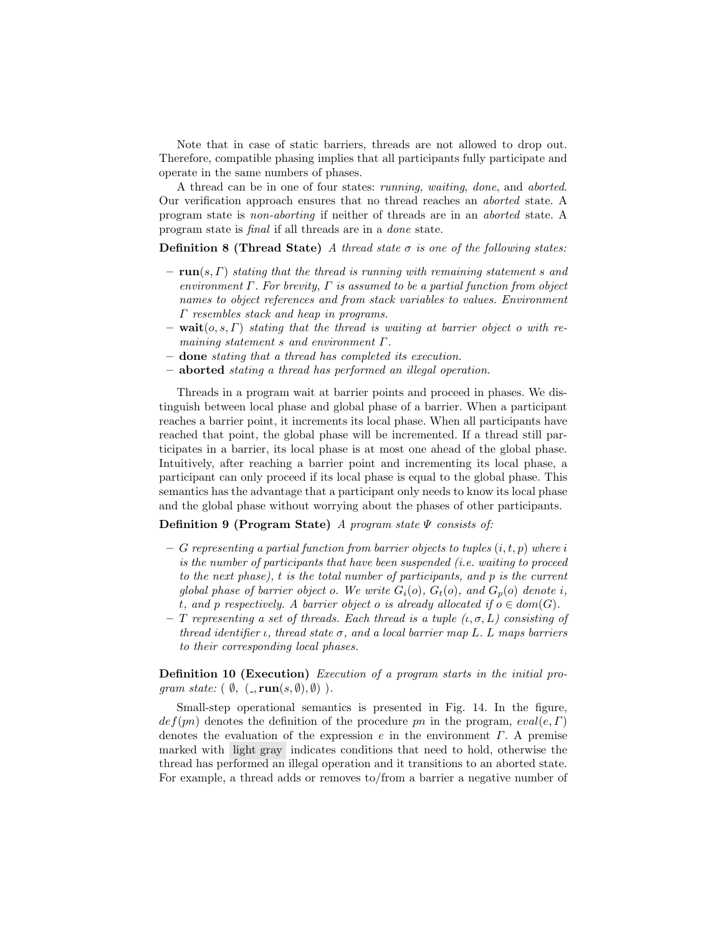Note that in case of static barriers, threads are not allowed to drop out. Therefore, compatible phasing implies that all participants fully participate and operate in the same numbers of phases.

A thread can be in one of four states: running, waiting, done, and aborted. Our verification approach ensures that no thread reaches an aborted state. A program state is non-aborting if neither of threads are in an aborted state. A program state is final if all threads are in a done state.

**Definition 8 (Thread State)** A thread state  $\sigma$  is one of the following states:

- $-$  run(s,  $\Gamma$ ) stating that the thread is running with remaining statement s and environment  $\Gamma$ . For brevity,  $\Gamma$  is assumed to be a partial function from object names to object references and from stack variables to values. Environment Γ resembles stack and heap in programs.
- $-$  wait $(o, s, \Gamma)$  stating that the thread is waiting at barrier object o with remaining statement s and environment  $\Gamma$ .
- done stating that a thread has completed its execution.
- aborted stating a thread has performed an illegal operation.

Threads in a program wait at barrier points and proceed in phases. We distinguish between local phase and global phase of a barrier. When a participant reaches a barrier point, it increments its local phase. When all participants have reached that point, the global phase will be incremented. If a thread still participates in a barrier, its local phase is at most one ahead of the global phase. Intuitively, after reaching a barrier point and incrementing its local phase, a participant can only proceed if its local phase is equal to the global phase. This semantics has the advantage that a participant only needs to know its local phase and the global phase without worrying about the phases of other participants.

Definition 9 (Program State) A program state  $\Psi$  consists of:

- $-G$  representing a partial function from barrier objects to tuples  $(i, t, p)$  where i is the number of participants that have been suspended (i.e. waiting to proceed to the next phase), t is the total number of participants, and p is the current global phase of barrier object o. We write  $G_i(o)$ ,  $G_i(o)$ , and  $G_p(o)$  denote i, t, and p respectively. A barrier object o is already allocated if  $o \in dom(G)$ .
- $-$  T representing a set of threads. Each thread is a tuple  $(\iota, \sigma, L)$  consisting of thread identifier  $\iota$ , thread state  $\sigma$ , and a local barrier map  $L$ . L maps barriers to their corresponding local phases.

Definition 10 (Execution) Execution of a program starts in the initial program state:  $(\emptyset, (-,\mathbf{run}(s,\emptyset),\emptyset))$ .

Small-step operational semantics is presented in Fig. 14. In the figure,  $def(pn)$  denotes the definition of the procedure pn in the program,  $eval(e, \Gamma)$ denotes the evaluation of the expression e in the environment  $\Gamma$ . A premise marked with light gray indicates conditions that need to hold, otherwise the thread has performed an illegal operation and it transitions to an aborted state. For example, a thread adds or removes to/from a barrier a negative number of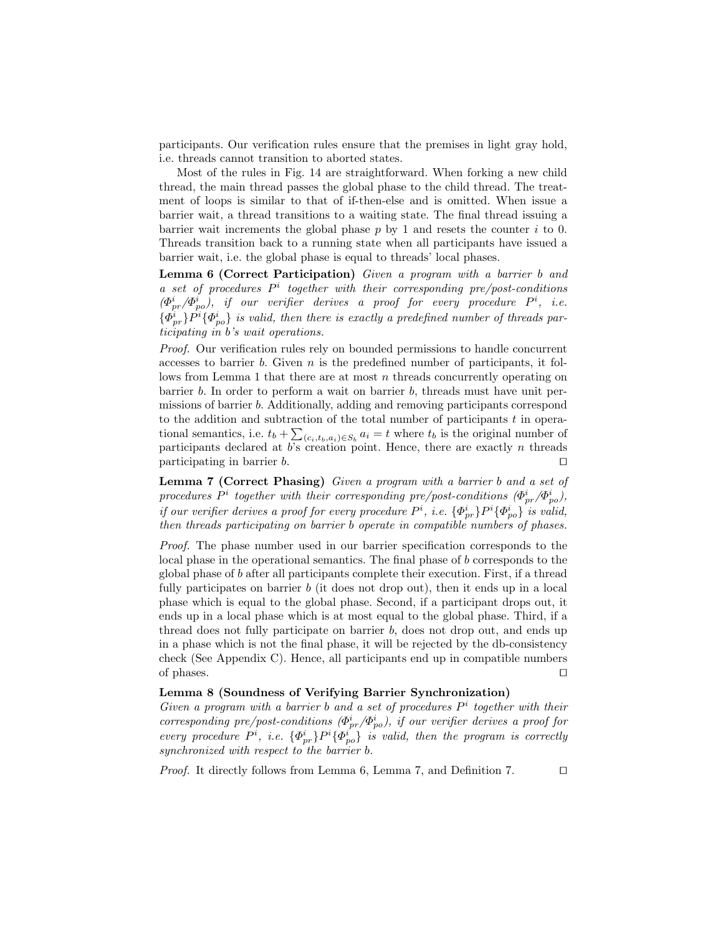participants. Our verification rules ensure that the premises in light gray hold, i.e. threads cannot transition to aborted states.

Most of the rules in Fig. 14 are straightforward. When forking a new child thread, the main thread passes the global phase to the child thread. The treatment of loops is similar to that of if-then-else and is omitted. When issue a barrier wait, a thread transitions to a waiting state. The final thread issuing a barrier wait increments the global phase  $p$  by 1 and resets the counter  $i$  to 0. Threads transition back to a running state when all participants have issued a barrier wait, i.e. the global phase is equal to threads' local phases.

Lemma 6 (Correct Participation) Given a program with a barrier b and a set of procedures  $P^i$  together with their corresponding pre/post-conditions  $(\Phi_{pr}^i/\Phi_{po}^i)$ , if our verifier derives a proof for every procedure  $P^i$ , i.e.  $\{\Phi_{pr}^i\}P^i\{\Phi_{po}^i\}$  is valid, then there is exactly a predefined number of threads participating in b's wait operations.

Proof. Our verification rules rely on bounded permissions to handle concurrent accesses to barrier  $b$ . Given  $n$  is the predefined number of participants, it follows from Lemma 1 that there are at most  $n$  threads concurrently operating on barrier  $b$ . In order to perform a wait on barrier  $b$ , threads must have unit permissions of barrier b. Additionally, adding and removing participants correspond to the addition and subtraction of the total number of participants  $t$  in operational semantics, i.e.  $t_b + \sum_{(c_i,t_b,a_i) \in S_b} a_i = t$  where  $t_b$  is the original number of participants declared at  $b$ 's creation point. Hence, there are exactly  $n$  threads participating in barrier  $b$ .

Lemma 7 (Correct Phasing) Given a program with a barrier b and a set of procedures  $P^i$  together with their corresponding pre/post-conditions  $(\Phi_{pr}^i / \Phi_{po}^i)$ , if our verifier derives a proof for every procedure  $P^i$ , i.e.  $\{\Phi_{pr}^i\}P^i\{\Phi_{po}^i\}$  is valid, then threads participating on barrier b operate in compatible numbers of phases.

Proof. The phase number used in our barrier specification corresponds to the local phase in the operational semantics. The final phase of b corresponds to the global phase of b after all participants complete their execution. First, if a thread fully participates on barrier b (it does not drop out), then it ends up in a local phase which is equal to the global phase. Second, if a participant drops out, it ends up in a local phase which is at most equal to the global phase. Third, if a thread does not fully participate on barrier  $b$ , does not drop out, and ends up in a phase which is not the final phase, it will be rejected by the db-consistency check (See Appendix C). Hence, all participants end up in compatible numbers of phases.  $\Box$ 

# Lemma 8 (Soundness of Verifying Barrier Synchronization)

Given a program with a barrier b and a set of procedures  $P^i$  together with their corresponding pre/post-conditions  $(\Phi_{pr}^i / \Phi_{po}^i)$ , if our verifier derives a proof for every procedure  $P^i$ , i.e.  $\{\Phi_{pr}^i\}P^i\{\Phi_{po}^i\}$  is valid, then the program is correctly synchronized with respect to the barrier b.

*Proof.* It directly follows from Lemma 6, Lemma 7, and Definition 7.  $\Box$